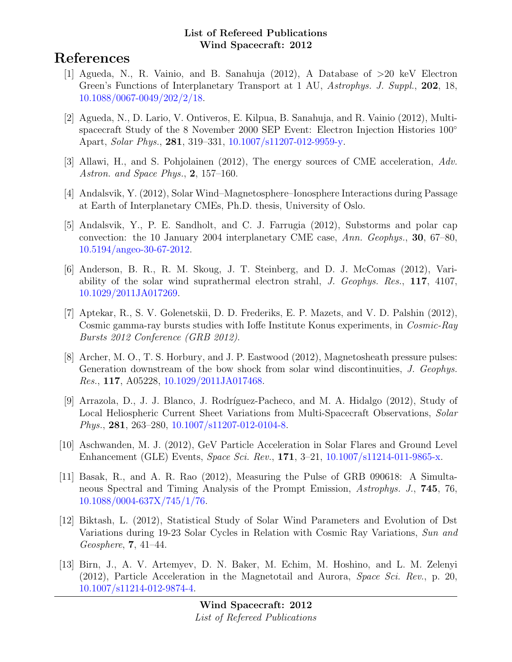# References

- [1] Agueda, N., R. Vainio, and B. Sanahuja (2012), A Database of >20 keV Electron Green's Functions of Interplanetary Transport at 1 AU, Astrophys. J. Suppl., 202, 18, [10.1088/0067-0049/202/2/18.](http://dx.doi.org/10.1088/0067-0049/202/2/18)
- [2] Agueda, N., D. Lario, V. Ontiveros, E. Kilpua, B. Sanahuja, and R. Vainio (2012), Multispacecraft Study of the 8 November 2000 SEP Event: Electron Injection Histories 100<sup>°</sup> Apart, Solar Phys., 281, 319–331, [10.1007/s11207-012-9959-y.](http://dx.doi.org/10.1007/s11207-012-9959-y)
- [3] Allawi, H., and S. Pohjolainen (2012), The energy sources of CME acceleration, Adv. Astron. and Space Phys., 2, 157–160.
- [4] Andalsvik, Y. (2012), Solar Wind–Magnetosphere–Ionosphere Interactions during Passage at Earth of Interplanetary CMEs, Ph.D. thesis, University of Oslo.
- [5] Andalsvik, Y., P. E. Sandholt, and C. J. Farrugia (2012), Substorms and polar cap convection: the 10 January 2004 interplanetary CME case, Ann. Geophys., 30, 67–80, [10.5194/angeo-30-67-2012.](http://dx.doi.org/10.5194/angeo-30-67-2012)
- [6] Anderson, B. R., R. M. Skoug, J. T. Steinberg, and D. J. McComas (2012), Variability of the solar wind suprathermal electron strahl, J. Geophys. Res., 117, 4107, [10.1029/2011JA017269.](http://dx.doi.org/10.1029/2011JA017269)
- [7] Aptekar, R., S. V. Golenetskii, D. D. Frederiks, E. P. Mazets, and V. D. Palshin (2012), Cosmic gamma-ray bursts studies with Ioffe Institute Konus experiments, in Cosmic-Ray Bursts 2012 Conference (GRB 2012).
- [8] Archer, M. O., T. S. Horbury, and J. P. Eastwood (2012), Magnetosheath pressure pulses: Generation downstream of the bow shock from solar wind discontinuities, J. Geophys. Res., 117, A05228, [10.1029/2011JA017468.](http://dx.doi.org/10.1029/2011JA017468)
- [9] Arrazola, D., J. J. Blanco, J. Rodríguez-Pacheco, and M. A. Hidalgo (2012), Study of Local Heliospheric Current Sheet Variations from Multi-Spacecraft Observations, Solar Phys., 281, 263–280, [10.1007/s11207-012-0104-8.](http://dx.doi.org/10.1007/s11207-012-0104-8)
- [10] Aschwanden, M. J. (2012), GeV Particle Acceleration in Solar Flares and Ground Level Enhancement (GLE) Events, Space Sci. Rev., 171, 3–21, [10.1007/s11214-011-9865-x.](http://dx.doi.org/10.1007/s11214-011-9865-x)
- [11] Basak, R., and A. R. Rao (2012), Measuring the Pulse of GRB 090618: A Simultaneous Spectral and Timing Analysis of the Prompt Emission, Astrophys. J., 745, 76, [10.1088/0004-637X/745/1/76.](http://dx.doi.org/10.1088/0004-637X/745/1/76)
- [12] Biktash, L. (2012), Statistical Study of Solar Wind Parameters and Evolution of Dst Variations during 19-23 Solar Cycles in Relation with Cosmic Ray Variations, Sun and Geosphere, 7, 41–44.
- [13] Birn, J., A. V. Artemyev, D. N. Baker, M. Echim, M. Hoshino, and L. M. Zelenyi (2012), Particle Acceleration in the Magnetotail and Aurora, Space Sci. Rev., p. 20, [10.1007/s11214-012-9874-4.](http://dx.doi.org/10.1007/s11214-012-9874-4)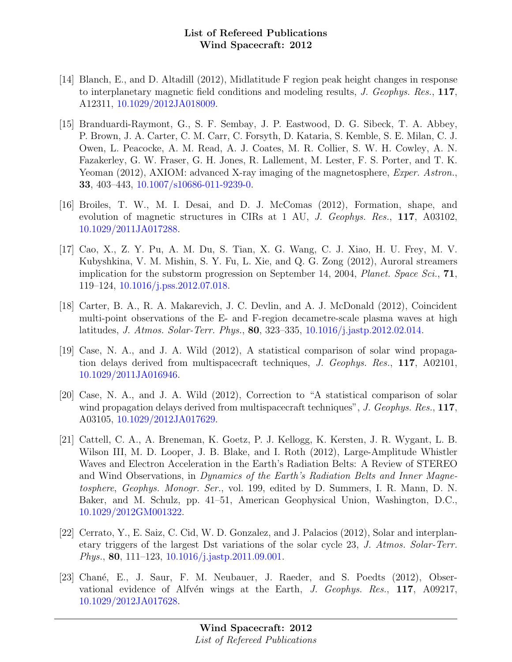- [14] Blanch, E., and D. Altadill (2012), Midlatitude F region peak height changes in response to interplanetary magnetic field conditions and modeling results, J. Geophys. Res., 117, A12311, [10.1029/2012JA018009.](http://dx.doi.org/10.1029/2012JA018009)
- [15] Branduardi-Raymont, G., S. F. Sembay, J. P. Eastwood, D. G. Sibeck, T. A. Abbey, P. Brown, J. A. Carter, C. M. Carr, C. Forsyth, D. Kataria, S. Kemble, S. E. Milan, C. J. Owen, L. Peacocke, A. M. Read, A. J. Coates, M. R. Collier, S. W. H. Cowley, A. N. Fazakerley, G. W. Fraser, G. H. Jones, R. Lallement, M. Lester, F. S. Porter, and T. K. Yeoman (2012), AXIOM: advanced X-ray imaging of the magnetosphere, *Exper. Astron.*, 33, 403–443, [10.1007/s10686-011-9239-0.](http://dx.doi.org/10.1007/s10686-011-9239-0)
- [16] Broiles, T. W., M. I. Desai, and D. J. McComas (2012), Formation, shape, and evolution of magnetic structures in CIRs at 1 AU, *J. Geophys. Res.*, 117, A03102, [10.1029/2011JA017288.](http://dx.doi.org/10.1029/2011JA017288)
- [17] Cao, X., Z. Y. Pu, A. M. Du, S. Tian, X. G. Wang, C. J. Xiao, H. U. Frey, M. V. Kubyshkina, V. M. Mishin, S. Y. Fu, L. Xie, and Q. G. Zong (2012), Auroral streamers implication for the substorm progression on September 14, 2004, Planet. Space Sci.,  $71$ , 119–124, [10.1016/j.pss.2012.07.018.](http://dx.doi.org/10.1016/j.pss.2012.07.018)
- [18] Carter, B. A., R. A. Makarevich, J. C. Devlin, and A. J. McDonald (2012), Coincident multi-point observations of the E- and F-region decametre-scale plasma waves at high latitudes, J. Atmos. Solar-Terr. Phys., 80, 323–335, [10.1016/j.jastp.2012.02.014.](http://dx.doi.org/10.1016/j.jastp.2012.02.014)
- [19] Case, N. A., and J. A. Wild (2012), A statistical comparison of solar wind propagation delays derived from multispacecraft techniques, J. Geophys. Res., 117, A02101, [10.1029/2011JA016946.](http://dx.doi.org/10.1029/2011JA016946)
- [20] Case, N. A., and J. A. Wild (2012), Correction to "A statistical comparison of solar wind propagation delays derived from multispacecraft techniques", J. Geophys. Res., 117, A03105, [10.1029/2012JA017629.](http://dx.doi.org/10.1029/2012JA017629)
- [21] Cattell, C. A., A. Breneman, K. Goetz, P. J. Kellogg, K. Kersten, J. R. Wygant, L. B. Wilson III, M. D. Looper, J. B. Blake, and I. Roth (2012), Large-Amplitude Whistler Waves and Electron Acceleration in the Earth's Radiation Belts: A Review of STEREO and Wind Observations, in Dynamics of the Earth's Radiation Belts and Inner Magnetosphere, Geophys. Monogr. Ser., vol. 199, edited by D. Summers, I. R. Mann, D. N. Baker, and M. Schulz, pp. 41–51, American Geophysical Union, Washington, D.C., [10.1029/2012GM001322.](http://dx.doi.org/10.1029/2012GM001322)
- [22] Cerrato, Y., E. Saiz, C. Cid, W. D. Gonzalez, and J. Palacios (2012), Solar and interplanetary triggers of the largest Dst variations of the solar cycle 23, J. Atmos. Solar-Terr. Phys., 80, 111–123, [10.1016/j.jastp.2011.09.001.](http://dx.doi.org/10.1016/j.jastp.2011.09.001)
- [23] Chané, E., J. Saur, F. M. Neubauer, J. Raeder, and S. Poedts (2012), Observational evidence of Alfvén wings at the Earth, J. Geophys. Res.,  $117$ , A09217, [10.1029/2012JA017628.](http://dx.doi.org/10.1029/2012JA017628)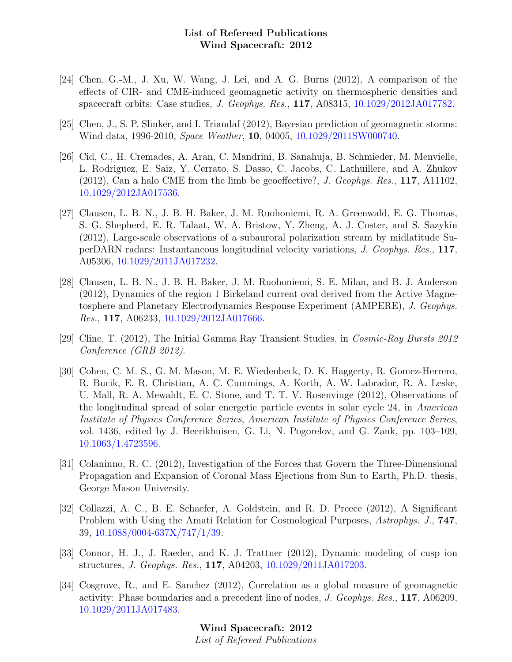- [24] Chen, G.-M., J. Xu, W. Wang, J. Lei, and A. G. Burns (2012), A comparison of the effects of CIR- and CME-induced geomagnetic activity on thermospheric densities and spacecraft orbits: Case studies, J. Geophys. Res., 117, A08315, [10.1029/2012JA017782.](http://dx.doi.org/10.1029/2012JA017782)
- [25] Chen, J., S. P. Slinker, and I. Triandaf (2012), Bayesian prediction of geomagnetic storms: Wind data, 1996-2010, Space Weather, 10, 04005, [10.1029/2011SW000740.](http://dx.doi.org/10.1029/2011SW000740)
- [26] Cid, C., H. Cremades, A. Aran, C. Mandrini, B. Sanahuja, B. Schmieder, M. Menvielle, L. Rodriguez, E. Saiz, Y. Cerrato, S. Dasso, C. Jacobs, C. Lathuillere, and A. Zhukov (2012), Can a halo CME from the limb be geoeffective?, J. Geophys. Res., 117, A11102, [10.1029/2012JA017536.](http://dx.doi.org/10.1029/2012JA017536)
- [27] Clausen, L. B. N., J. B. H. Baker, J. M. Ruohoniemi, R. A. Greenwald, E. G. Thomas, S. G. Shepherd, E. R. Talaat, W. A. Bristow, Y. Zheng, A. J. Coster, and S. Sazykin (2012), Large-scale observations of a subauroral polarization stream by midlatitude SuperDARN radars: Instantaneous longitudinal velocity variations, J. Geophys. Res., 117, A05306, [10.1029/2011JA017232.](http://dx.doi.org/10.1029/2011JA017232)
- [28] Clausen, L. B. N., J. B. H. Baker, J. M. Ruohoniemi, S. E. Milan, and B. J. Anderson (2012), Dynamics of the region 1 Birkeland current oval derived from the Active Magnetosphere and Planetary Electrodynamics Response Experiment (AMPERE), J. Geophys. Res., 117, A06233, [10.1029/2012JA017666.](http://dx.doi.org/10.1029/2012JA017666)
- [29] Cline, T. (2012), The Initial Gamma Ray Transient Studies, in Cosmic-Ray Bursts 2012 Conference (GRB 2012).
- [30] Cohen, C. M. S., G. M. Mason, M. E. Wiedenbeck, D. K. Haggerty, R. Gomez-Herrero, R. Bucik, E. R. Christian, A. C. Cummings, A. Korth, A. W. Labrador, R. A. Leske, U. Mall, R. A. Mewaldt, E. C. Stone, and T. T. V. Rosenvinge (2012), Observations of the longitudinal spread of solar energetic particle events in solar cycle 24, in American Institute of Physics Conference Series, American Institute of Physics Conference Series, vol. 1436, edited by J. Heerikhuisen, G. Li, N. Pogorelov, and G. Zank, pp. 103–109, [10.1063/1.4723596.](http://dx.doi.org/10.1063/1.4723596)
- [31] Colaninno, R. C. (2012), Investigation of the Forces that Govern the Three-Dimensional Propagation and Expansion of Coronal Mass Ejections from Sun to Earth, Ph.D. thesis, George Mason University.
- [32] Collazzi, A. C., B. E. Schaefer, A. Goldstein, and R. D. Preece (2012), A Significant Problem with Using the Amati Relation for Cosmological Purposes, Astrophys. J., **747**, 39, [10.1088/0004-637X/747/1/39.](http://dx.doi.org/10.1088/0004-637X/747/1/39)
- [33] Connor, H. J., J. Raeder, and K. J. Trattner (2012), Dynamic modeling of cusp ion structures, J. Geophys. Res., 117, A04203, [10.1029/2011JA017203.](http://dx.doi.org/10.1029/2011JA017203)
- [34] Cosgrove, R., and E. Sanchez (2012), Correlation as a global measure of geomagnetic activity: Phase boundaries and a precedent line of nodes, J. Geophys. Res., 117, A06209, [10.1029/2011JA017483.](http://dx.doi.org/10.1029/2011JA017483)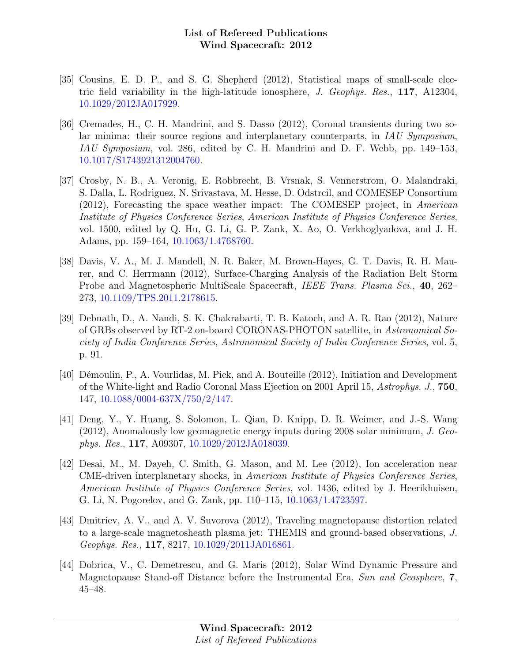- [35] Cousins, E. D. P., and S. G. Shepherd (2012), Statistical maps of small-scale electric field variability in the high-latitude ionosphere, J. Geophys. Res., 117, A12304, [10.1029/2012JA017929.](http://dx.doi.org/10.1029/2012JA017929)
- [36] Cremades, H., C. H. Mandrini, and S. Dasso (2012), Coronal transients during two solar minima: their source regions and interplanetary counterparts, in IAU Symposium, IAU Symposium, vol. 286, edited by C. H. Mandrini and D. F. Webb, pp. 149–153, [10.1017/S1743921312004760.](http://dx.doi.org/10.1017/S1743921312004760)
- [37] Crosby, N. B., A. Veronig, E. Robbrecht, B. Vrsnak, S. Vennerstrom, O. Malandraki, S. Dalla, L. Rodriguez, N. Srivastava, M. Hesse, D. Odstrcil, and COMESEP Consortium (2012), Forecasting the space weather impact: The COMESEP project, in American Institute of Physics Conference Series, American Institute of Physics Conference Series, vol. 1500, edited by Q. Hu, G. Li, G. P. Zank, X. Ao, O. Verkhoglyadova, and J. H. Adams, pp. 159–164, [10.1063/1.4768760.](http://dx.doi.org/10.1063/1.4768760)
- [38] Davis, V. A., M. J. Mandell, N. R. Baker, M. Brown-Hayes, G. T. Davis, R. H. Maurer, and C. Herrmann (2012), Surface-Charging Analysis of the Radiation Belt Storm Probe and Magnetospheric MultiScale Spacecraft, IEEE Trans. Plasma Sci., 40, 262– 273, [10.1109/TPS.2011.2178615.](http://dx.doi.org/10.1109/TPS.2011.2178615)
- [39] Debnath, D., A. Nandi, S. K. Chakrabarti, T. B. Katoch, and A. R. Rao (2012), Nature of GRBs observed by RT-2 on-board CORONAS-PHOTON satellite, in Astronomical Society of India Conference Series, Astronomical Society of India Conference Series, vol. 5, p. 91.
- [40] Démoulin, P., A. Vourlidas, M. Pick, and A. Bouteille (2012), Initiation and Development of the White-light and Radio Coronal Mass Ejection on 2001 April 15, Astrophys. J., 750, 147, [10.1088/0004-637X/750/2/147.](http://dx.doi.org/10.1088/0004-637X/750/2/147)
- [41] Deng, Y., Y. Huang, S. Solomon, L. Qian, D. Knipp, D. R. Weimer, and J.-S. Wang (2012), Anomalously low geomagnetic energy inputs during 2008 solar minimum, J. Geophys. Res., 117, A09307, [10.1029/2012JA018039.](http://dx.doi.org/10.1029/2012JA018039)
- [42] Desai, M., M. Dayeh, C. Smith, G. Mason, and M. Lee (2012), Ion acceleration near CME-driven interplanetary shocks, in American Institute of Physics Conference Series, American Institute of Physics Conference Series, vol. 1436, edited by J. Heerikhuisen, G. Li, N. Pogorelov, and G. Zank, pp. 110–115, [10.1063/1.4723597.](http://dx.doi.org/10.1063/1.4723597)
- [43] Dmitriev, A. V., and A. V. Suvorova (2012), Traveling magnetopause distortion related to a large-scale magnetosheath plasma jet: THEMIS and ground-based observations, J. Geophys. Res., 117, 8217, [10.1029/2011JA016861.](http://dx.doi.org/10.1029/2011JA016861)
- [44] Dobrica, V., C. Demetrescu, and G. Maris (2012), Solar Wind Dynamic Pressure and Magnetopause Stand-off Distance before the Instrumental Era, Sun and Geosphere, 7, 45–48.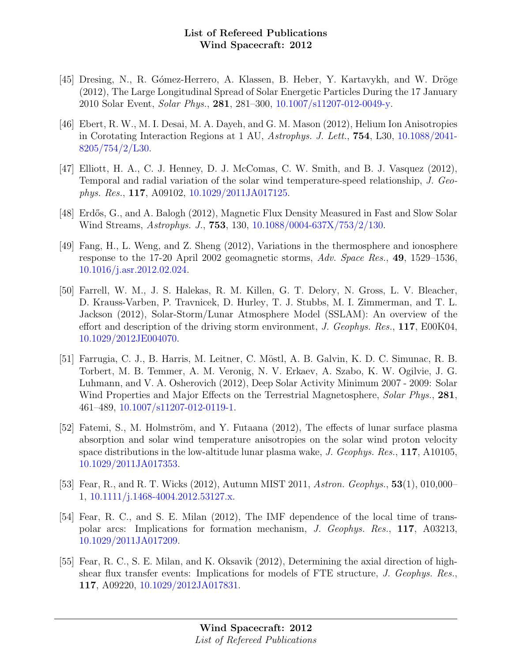- [45] Dresing, N., R. Gómez-Herrero, A. Klassen, B. Heber, Y. Kartavykh, and W. Dröge (2012), The Large Longitudinal Spread of Solar Energetic Particles During the 17 January 2010 Solar Event, Solar Phys., 281, 281–300, [10.1007/s11207-012-0049-y.](http://dx.doi.org/10.1007/s11207-012-0049-y)
- [46] Ebert, R. W., M. I. Desai, M. A. Dayeh, and G. M. Mason (2012), Helium Ion Anisotropies in Corotating Interaction Regions at 1 AU, Astrophys. J. Lett., 754, L30, [10.1088/2041-](http://dx.doi.org/10.1088/2041-8205/754/2/L30) [8205/754/2/L30.](http://dx.doi.org/10.1088/2041-8205/754/2/L30)
- [47] Elliott, H. A., C. J. Henney, D. J. McComas, C. W. Smith, and B. J. Vasquez (2012), Temporal and radial variation of the solar wind temperature-speed relationship, J. Geophys. Res., 117, A09102, [10.1029/2011JA017125.](http://dx.doi.org/10.1029/2011JA017125)
- [48] Erdős, G., and A. Balogh (2012), Magnetic Flux Density Measured in Fast and Slow Solar Wind Streams, Astrophys. J., 753, 130, [10.1088/0004-637X/753/2/130.](http://dx.doi.org/10.1088/0004-637X/753/2/130)
- [49] Fang, H., L. Weng, and Z. Sheng (2012), Variations in the thermosphere and ionosphere response to the 17-20 April 2002 geomagnetic storms, Adv. Space Res., 49, 1529–1536, [10.1016/j.asr.2012.02.024.](http://dx.doi.org/10.1016/j.asr.2012.02.024)
- [50] Farrell, W. M., J. S. Halekas, R. M. Killen, G. T. Delory, N. Gross, L. V. Bleacher, D. Krauss-Varben, P. Travnicek, D. Hurley, T. J. Stubbs, M. I. Zimmerman, and T. L. Jackson (2012), Solar-Storm/Lunar Atmosphere Model (SSLAM): An overview of the effort and description of the driving storm environment, J. Geophys. Res., 117, E00K04, [10.1029/2012JE004070.](http://dx.doi.org/10.1029/2012JE004070)
- [51] Farrugia, C. J., B. Harris, M. Leitner, C. M¨ostl, A. B. Galvin, K. D. C. Simunac, R. B. Torbert, M. B. Temmer, A. M. Veronig, N. V. Erkaev, A. Szabo, K. W. Ogilvie, J. G. Luhmann, and V. A. Osherovich (2012), Deep Solar Activity Minimum 2007 - 2009: Solar Wind Properties and Major Effects on the Terrestrial Magnetosphere, Solar Phys., 281, 461–489, [10.1007/s11207-012-0119-1.](http://dx.doi.org/10.1007/s11207-012-0119-1)
- [52] Fatemi, S., M. Holmström, and Y. Futaana (2012), The effects of lunar surface plasma absorption and solar wind temperature anisotropies on the solar wind proton velocity space distributions in the low-altitude lunar plasma wake, J. Geophys. Res., 117, A10105, [10.1029/2011JA017353.](http://dx.doi.org/10.1029/2011JA017353)
- [53] Fear, R., and R. T. Wicks (2012), Autumn MIST 2011, Astron. Geophys., 53(1), 010,000– 1, [10.1111/j.1468-4004.2012.53127.x.](http://dx.doi.org/10.1111/j.1468-4004.2012.53127.x)
- [54] Fear, R. C., and S. E. Milan (2012), The IMF dependence of the local time of transpolar arcs: Implications for formation mechanism, J. Geophys. Res., 117, A03213, [10.1029/2011JA017209.](http://dx.doi.org/10.1029/2011JA017209)
- [55] Fear, R. C., S. E. Milan, and K. Oksavik (2012), Determining the axial direction of highshear flux transfer events: Implications for models of FTE structure, J. Geophys. Res., 117, A09220, [10.1029/2012JA017831.](http://dx.doi.org/10.1029/2012JA017831)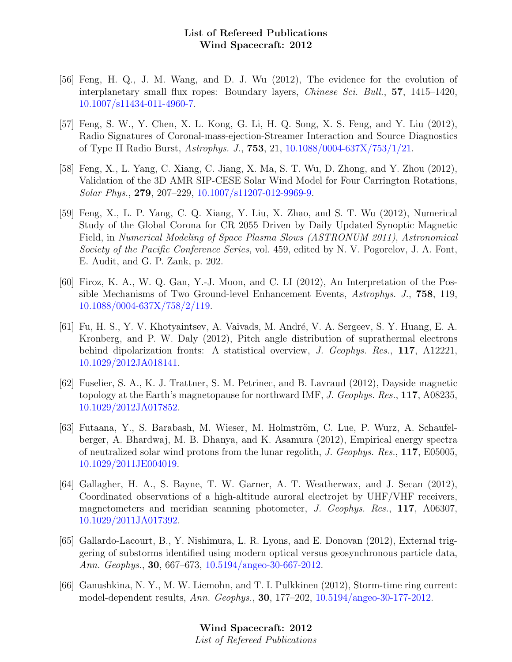- [56] Feng, H. Q., J. M. Wang, and D. J. Wu (2012), The evidence for the evolution of interplanetary small flux ropes: Boundary layers, Chinese Sci. Bull., 57, 1415–1420, [10.1007/s11434-011-4960-7.](http://dx.doi.org/10.1007/s11434-011-4960-7)
- [57] Feng, S. W., Y. Chen, X. L. Kong, G. Li, H. Q. Song, X. S. Feng, and Y. Liu (2012), Radio Signatures of Coronal-mass-ejection-Streamer Interaction and Source Diagnostics of Type II Radio Burst, Astrophys. J., 753, 21, [10.1088/0004-637X/753/1/21.](http://dx.doi.org/10.1088/0004-637X/753/1/21)
- [58] Feng, X., L. Yang, C. Xiang, C. Jiang, X. Ma, S. T. Wu, D. Zhong, and Y. Zhou (2012), Validation of the 3D AMR SIP-CESE Solar Wind Model for Four Carrington Rotations, Solar Phys., 279, 207–229, [10.1007/s11207-012-9969-9.](http://dx.doi.org/10.1007/s11207-012-9969-9)
- [59] Feng, X., L. P. Yang, C. Q. Xiang, Y. Liu, X. Zhao, and S. T. Wu (2012), Numerical Study of the Global Corona for CR 2055 Driven by Daily Updated Synoptic Magnetic Field, in Numerical Modeling of Space Plasma Slows (ASTRONUM 2011), Astronomical Society of the Pacific Conference Series, vol. 459, edited by N. V. Pogorelov, J. A. Font, E. Audit, and G. P. Zank, p. 202.
- [60] Firoz, K. A., W. Q. Gan, Y.-J. Moon, and C. LI (2012), An Interpretation of the Possible Mechanisms of Two Ground-level Enhancement Events, Astrophys. J., 758, 119, [10.1088/0004-637X/758/2/119.](http://dx.doi.org/10.1088/0004-637X/758/2/119)
- [61] Fu, H. S., Y. V. Khotyaintsev, A. Vaivads, M. Andr´e, V. A. Sergeev, S. Y. Huang, E. A. Kronberg, and P. W. Daly (2012), Pitch angle distribution of suprathermal electrons behind dipolarization fronts: A statistical overview, J. Geophys. Res., 117, A12221, [10.1029/2012JA018141.](http://dx.doi.org/10.1029/2012JA018141)
- [62] Fuselier, S. A., K. J. Trattner, S. M. Petrinec, and B. Lavraud (2012), Dayside magnetic topology at the Earth's magnetopause for northward IMF, J. Geophys. Res., 117, A08235, [10.1029/2012JA017852.](http://dx.doi.org/10.1029/2012JA017852)
- [63] Futaana, Y., S. Barabash, M. Wieser, M. Holmström, C. Lue, P. Wurz, A. Schaufelberger, A. Bhardwaj, M. B. Dhanya, and K. Asamura (2012), Empirical energy spectra of neutralized solar wind protons from the lunar regolith, J. Geophys. Res., 117, E05005, [10.1029/2011JE004019.](http://dx.doi.org/10.1029/2011JE004019)
- [64] Gallagher, H. A., S. Bayne, T. W. Garner, A. T. Weatherwax, and J. Secan (2012), Coordinated observations of a high-altitude auroral electrojet by UHF/VHF receivers, magnetometers and meridian scanning photometer, J. Geophys. Res., 117, A06307, [10.1029/2011JA017392.](http://dx.doi.org/10.1029/2011JA017392)
- [65] Gallardo-Lacourt, B., Y. Nishimura, L. R. Lyons, and E. Donovan (2012), External triggering of substorms identified using modern optical versus geosynchronous particle data, Ann. Geophys., 30, 667–673, [10.5194/angeo-30-667-2012.](http://dx.doi.org/10.5194/angeo-30-667-2012)
- [66] Ganushkina, N. Y., M. W. Liemohn, and T. I. Pulkkinen (2012), Storm-time ring current: model-dependent results, Ann. Geophys., 30, 177–202, [10.5194/angeo-30-177-2012.](http://dx.doi.org/10.5194/angeo-30-177-2012)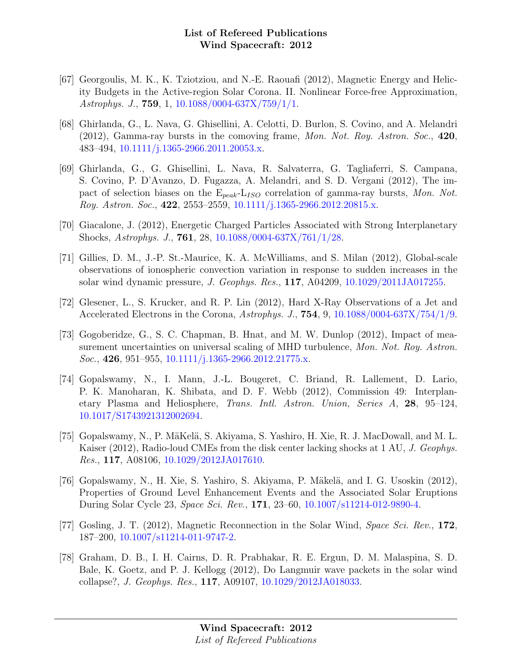- [67] Georgoulis, M. K., K. Tziotziou, and N.-E. Raouafi (2012), Magnetic Energy and Helicity Budgets in the Active-region Solar Corona. II. Nonlinear Force-free Approximation, Astrophys. J., 759, 1, [10.1088/0004-637X/759/1/1.](http://dx.doi.org/10.1088/0004-637X/759/1/1)
- [68] Ghirlanda, G., L. Nava, G. Ghisellini, A. Celotti, D. Burlon, S. Covino, and A. Melandri  $(2012)$ , Gamma-ray bursts in the comoving frame, Mon. Not. Roy. Astron. Soc., 420, 483–494, [10.1111/j.1365-2966.2011.20053.x.](http://dx.doi.org/10.1111/j.1365-2966.2011.20053.x)
- [69] Ghirlanda, G., G. Ghisellini, L. Nava, R. Salvaterra, G. Tagliaferri, S. Campana, S. Covino, P. D'Avanzo, D. Fugazza, A. Melandri, and S. D. Vergani (2012), The impact of selection biases on the  $E_{peak}$ -L<sub>ISO</sub> correlation of gamma-ray bursts, Mon. Not. Roy. Astron. Soc., 422, 2553–2559, [10.1111/j.1365-2966.2012.20815.x.](http://dx.doi.org/10.1111/j.1365-2966.2012.20815.x)
- [70] Giacalone, J. (2012), Energetic Charged Particles Associated with Strong Interplanetary Shocks, Astrophys. J., 761, 28, [10.1088/0004-637X/761/1/28.](http://dx.doi.org/10.1088/0004-637X/761/1/28)
- [71] Gillies, D. M., J.-P. St.-Maurice, K. A. McWilliams, and S. Milan (2012), Global-scale observations of ionospheric convection variation in response to sudden increases in the solar wind dynamic pressure, J. Geophys. Res., 117, A04209, [10.1029/2011JA017255.](http://dx.doi.org/10.1029/2011JA017255)
- [72] Glesener, L., S. Krucker, and R. P. Lin (2012), Hard X-Ray Observations of a Jet and Accelerated Electrons in the Corona, Astrophys. J.,  $754, 9, 10.1088/0004-637X/754/1/9$ .
- [73] Gogoberidze, G., S. C. Chapman, B. Hnat, and M. W. Dunlop (2012), Impact of measurement uncertainties on universal scaling of MHD turbulence, Mon. Not. Roy. Astron. Soc., 426, 951–955, [10.1111/j.1365-2966.2012.21775.x.](http://dx.doi.org/10.1111/j.1365-2966.2012.21775.x)
- [74] Gopalswamy, N., I. Mann, J.-L. Bougeret, C. Briand, R. Lallement, D. Lario, P. K. Manoharan, K. Shibata, and D. F. Webb (2012), Commission 49: Interplanetary Plasma and Heliosphere, Trans. Intl. Astron. Union, Series A, 28, 95–124, [10.1017/S1743921312002694.](http://dx.doi.org/10.1017/S1743921312002694)
- [75] Gopalswamy, N., P. MäKelä, S. Akiyama, S. Yashiro, H. Xie, R. J. MacDowall, and M. L. Kaiser (2012), Radio-loud CMEs from the disk center lacking shocks at 1 AU, *J. Geophys.* Res., 117, A08106, [10.1029/2012JA017610.](http://dx.doi.org/10.1029/2012JA017610)
- [76] Gopalswamy, N., H. Xie, S. Yashiro, S. Akiyama, P. Mäkelä, and I. G. Usoskin (2012), Properties of Ground Level Enhancement Events and the Associated Solar Eruptions During Solar Cycle 23, Space Sci. Rev., 171, 23–60, [10.1007/s11214-012-9890-4.](http://dx.doi.org/10.1007/s11214-012-9890-4)
- [77] Gosling, J. T. (2012), Magnetic Reconnection in the Solar Wind, Space Sci. Rev., 172, 187–200, [10.1007/s11214-011-9747-2.](http://dx.doi.org/10.1007/s11214-011-9747-2)
- [78] Graham, D. B., I. H. Cairns, D. R. Prabhakar, R. E. Ergun, D. M. Malaspina, S. D. Bale, K. Goetz, and P. J. Kellogg (2012), Do Langmuir wave packets in the solar wind collapse?, J. Geophys. Res., 117, A09107, [10.1029/2012JA018033.](http://dx.doi.org/10.1029/2012JA018033)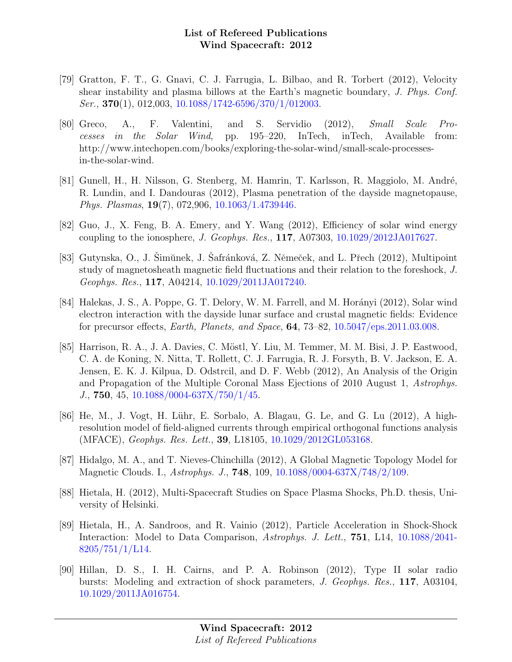- [79] Gratton, F. T., G. Gnavi, C. J. Farrugia, L. Bilbao, and R. Torbert (2012), Velocity shear instability and plasma billows at the Earth's magnetic boundary, J. Phys. Conf.  $Ser., 370(1), 012,003, 10.1088/1742-6596/370/1/012003.$  $Ser., 370(1), 012,003, 10.1088/1742-6596/370/1/012003.$
- [80] Greco, A., F. Valentini, and S. Servidio (2012), Small Scale Processes in the Solar Wind, pp. 195–220, InTech, inTech, Available from: http://www.intechopen.com/books/exploring-the-solar-wind/small-scale-processesin-the-solar-wind.
- [81] Gunell, H., H. Nilsson, G. Stenberg, M. Hamrin, T. Karlsson, R. Maggiolo, M. André, R. Lundin, and I. Dandouras (2012), Plasma penetration of the dayside magnetopause, Phys. Plasmas, 19(7), 072,906, [10.1063/1.4739446.](http://dx.doi.org/10.1063/1.4739446)
- [82] Guo, J., X. Feng, B. A. Emery, and Y. Wang (2012), Efficiency of solar wind energy coupling to the ionosphere, J. Geophys. Res., 117, A07303, [10.1029/2012JA017627.](http://dx.doi.org/10.1029/2012JA017627)
- [83] Gutynska, O., J. Šimŭnek, J. Šafránková, Z. Němeček, and L. Přech (2012), Multipoint study of magnetosheath magnetic field fluctuations and their relation to the foreshock, J. Geophys. Res., 117, A04214, [10.1029/2011JA017240.](http://dx.doi.org/10.1029/2011JA017240)
- [84] Halekas, J. S., A. Poppe, G. T. Delory, W. M. Farrell, and M. Horányi (2012), Solar wind electron interaction with the dayside lunar surface and crustal magnetic fields: Evidence for precursor effects, Earth, Planets, and Space, 64, 73–82, [10.5047/eps.2011.03.008.](http://dx.doi.org/10.5047/eps.2011.03.008)
- [85] Harrison, R. A., J. A. Davies, C. Möstl, Y. Liu, M. Temmer, M. M. Bisi, J. P. Eastwood, C. A. de Koning, N. Nitta, T. Rollett, C. J. Farrugia, R. J. Forsyth, B. V. Jackson, E. A. Jensen, E. K. J. Kilpua, D. Odstrcil, and D. F. Webb (2012), An Analysis of the Origin and Propagation of the Multiple Coronal Mass Ejections of 2010 August 1, Astrophys. J., 750, 45, [10.1088/0004-637X/750/1/45.](http://dx.doi.org/10.1088/0004-637X/750/1/45)
- [86] He, M., J. Vogt, H. Lühr, E. Sorbalo, A. Blagau, G. Le, and G. Lu (2012), A highresolution model of field-aligned currents through empirical orthogonal functions analysis (MFACE), Geophys. Res. Lett., 39, L18105, [10.1029/2012GL053168.](http://dx.doi.org/10.1029/2012GL053168)
- [87] Hidalgo, M. A., and T. Nieves-Chinchilla (2012), A Global Magnetic Topology Model for Magnetic Clouds. I., Astrophys. J., 748, 109, [10.1088/0004-637X/748/2/109.](http://dx.doi.org/10.1088/0004-637X/748/2/109)
- [88] Hietala, H. (2012), Multi-Spacecraft Studies on Space Plasma Shocks, Ph.D. thesis, University of Helsinki.
- [89] Hietala, H., A. Sandroos, and R. Vainio (2012), Particle Acceleration in Shock-Shock Interaction: Model to Data Comparison, Astrophys. J. Lett., **751**, L14, [10.1088/2041-](http://dx.doi.org/10.1088/2041-8205/751/1/L14) [8205/751/1/L14.](http://dx.doi.org/10.1088/2041-8205/751/1/L14)
- [90] Hillan, D. S., I. H. Cairns, and P. A. Robinson (2012), Type II solar radio bursts: Modeling and extraction of shock parameters, J. Geophys. Res., 117, A03104, [10.1029/2011JA016754.](http://dx.doi.org/10.1029/2011JA016754)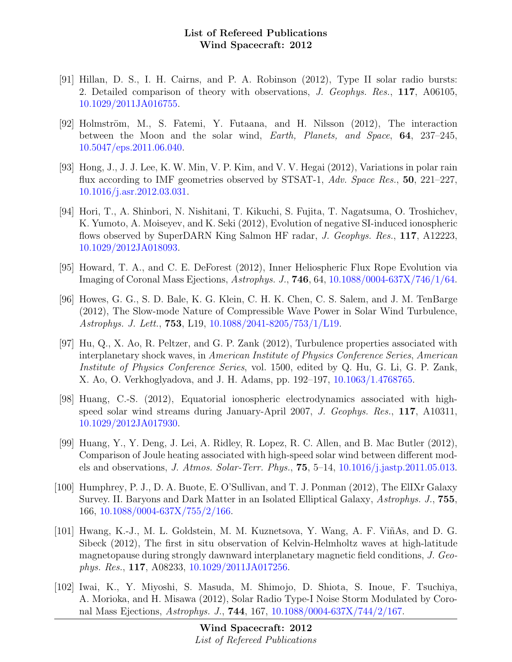- [91] Hillan, D. S., I. H. Cairns, and P. A. Robinson (2012), Type II solar radio bursts: 2. Detailed comparison of theory with observations, J. Geophys. Res., 117, A06105, [10.1029/2011JA016755.](http://dx.doi.org/10.1029/2011JA016755)
- [92] Holmström, M., S. Fatemi, Y. Futaana, and H. Nilsson (2012), The interaction between the Moon and the solar wind, Earth, Planets, and Space, 64, 237–245, [10.5047/eps.2011.06.040.](http://dx.doi.org/10.5047/eps.2011.06.040)
- [93] Hong, J., J. J. Lee, K. W. Min, V. P. Kim, and V. V. Hegai (2012), Variations in polar rain flux according to IMF geometries observed by STSAT-1, Adv. Space Res., 50, 221–227, [10.1016/j.asr.2012.03.031.](http://dx.doi.org/10.1016/j.asr.2012.03.031)
- [94] Hori, T., A. Shinbori, N. Nishitani, T. Kikuchi, S. Fujita, T. Nagatsuma, O. Troshichev, K. Yumoto, A. Moiseyev, and K. Seki (2012), Evolution of negative SI-induced ionospheric flows observed by SuperDARN King Salmon HF radar, J. Geophys. Res., 117, A12223, [10.1029/2012JA018093.](http://dx.doi.org/10.1029/2012JA018093)
- [95] Howard, T. A., and C. E. DeForest (2012), Inner Heliospheric Flux Rope Evolution via Imaging of Coronal Mass Ejections, Astrophys. J., 746, 64, [10.1088/0004-637X/746/1/64.](http://dx.doi.org/10.1088/0004-637X/746/1/64)
- [96] Howes, G. G., S. D. Bale, K. G. Klein, C. H. K. Chen, C. S. Salem, and J. M. TenBarge (2012), The Slow-mode Nature of Compressible Wave Power in Solar Wind Turbulence, Astrophys. J. Lett., 753, L19, [10.1088/2041-8205/753/1/L19.](http://dx.doi.org/10.1088/2041-8205/753/1/L19)
- [97] Hu, Q., X. Ao, R. Peltzer, and G. P. Zank (2012), Turbulence properties associated with interplanetary shock waves, in American Institute of Physics Conference Series, American Institute of Physics Conference Series, vol. 1500, edited by Q. Hu, G. Li, G. P. Zank, X. Ao, O. Verkhoglyadova, and J. H. Adams, pp. 192–197, [10.1063/1.4768765.](http://dx.doi.org/10.1063/1.4768765)
- [98] Huang, C.-S. (2012), Equatorial ionospheric electrodynamics associated with highspeed solar wind streams during January-April 2007, J. Geophys. Res., 117, A10311, [10.1029/2012JA017930.](http://dx.doi.org/10.1029/2012JA017930)
- [99] Huang, Y., Y. Deng, J. Lei, A. Ridley, R. Lopez, R. C. Allen, and B. Mac Butler (2012), Comparison of Joule heating associated with high-speed solar wind between different models and observations, J. Atmos. Solar-Terr. Phys., 75, 5–14, [10.1016/j.jastp.2011.05.013.](http://dx.doi.org/10.1016/j.jastp.2011.05.013)
- [100] Humphrey, P. J., D. A. Buote, E. O'Sullivan, and T. J. Ponman (2012), The ElIXr Galaxy Survey. II. Baryons and Dark Matter in an Isolated Elliptical Galaxy, Astrophys. J., 755, 166, [10.1088/0004-637X/755/2/166.](http://dx.doi.org/10.1088/0004-637X/755/2/166)
- [101] Hwang, K.-J., M. L. Goldstein, M. M. Kuznetsova, Y. Wang, A. F. Vi˜nAs, and D. G. Sibeck (2012), The first in situ observation of Kelvin-Helmholtz waves at high-latitude magnetopause during strongly dawnward interplanetary magnetic field conditions, J. Geophys. Res., 117, A08233, [10.1029/2011JA017256.](http://dx.doi.org/10.1029/2011JA017256)
- [102] Iwai, K., Y. Miyoshi, S. Masuda, M. Shimojo, D. Shiota, S. Inoue, F. Tsuchiya, A. Morioka, and H. Misawa (2012), Solar Radio Type-I Noise Storm Modulated by Coronal Mass Ejections, Astrophys. J., 744, 167, [10.1088/0004-637X/744/2/167.](http://dx.doi.org/10.1088/0004-637X/744/2/167)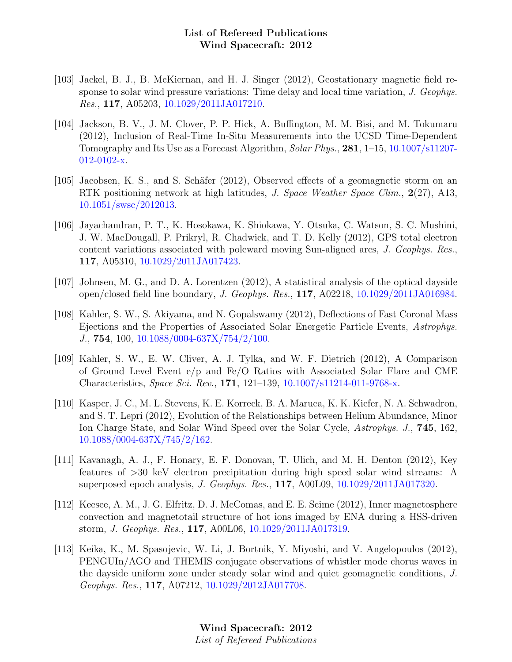- [103] Jackel, B. J., B. McKiernan, and H. J. Singer (2012), Geostationary magnetic field response to solar wind pressure variations: Time delay and local time variation, J. Geophys. Res., 117, A05203, [10.1029/2011JA017210.](http://dx.doi.org/10.1029/2011JA017210)
- [104] Jackson, B. V., J. M. Clover, P. P. Hick, A. Buffington, M. M. Bisi, and M. Tokumaru (2012), Inclusion of Real-Time In-Situ Measurements into the UCSD Time-Dependent Tomography and Its Use as a Forecast Algorithm, Solar Phys., 281, 1–15, [10.1007/s11207-](http://dx.doi.org/10.1007/s11207-012-0102-x) [012-0102-x.](http://dx.doi.org/10.1007/s11207-012-0102-x)
- [105] Jacobsen, K. S., and S. Schäfer (2012), Observed effects of a geomagnetic storm on an RTK positioning network at high latitudes, *J. Space Weather Space Clim.*, 2(27), A13, [10.1051/swsc/2012013.](http://dx.doi.org/10.1051/swsc/2012013)
- [106] Jayachandran, P. T., K. Hosokawa, K. Shiokawa, Y. Otsuka, C. Watson, S. C. Mushini, J. W. MacDougall, P. Prikryl, R. Chadwick, and T. D. Kelly (2012), GPS total electron content variations associated with poleward moving Sun-aligned arcs, J. Geophys. Res., 117, A05310, [10.1029/2011JA017423.](http://dx.doi.org/10.1029/2011JA017423)
- [107] Johnsen, M. G., and D. A. Lorentzen (2012), A statistical analysis of the optical dayside open/closed field line boundary, J. Geophys. Res., 117, A02218, [10.1029/2011JA016984.](http://dx.doi.org/10.1029/2011JA016984)
- [108] Kahler, S. W., S. Akiyama, and N. Gopalswamy (2012), Deflections of Fast Coronal Mass Ejections and the Properties of Associated Solar Energetic Particle Events, Astrophys. J., 754, 100, [10.1088/0004-637X/754/2/100.](http://dx.doi.org/10.1088/0004-637X/754/2/100)
- [109] Kahler, S. W., E. W. Cliver, A. J. Tylka, and W. F. Dietrich (2012), A Comparison of Ground Level Event e/p and Fe/O Ratios with Associated Solar Flare and CME Characteristics, Space Sci. Rev., 171, 121–139, [10.1007/s11214-011-9768-x.](http://dx.doi.org/10.1007/s11214-011-9768-x)
- [110] Kasper, J. C., M. L. Stevens, K. E. Korreck, B. A. Maruca, K. K. Kiefer, N. A. Schwadron, and S. T. Lepri (2012), Evolution of the Relationships between Helium Abundance, Minor Ion Charge State, and Solar Wind Speed over the Solar Cycle, Astrophys. J., 745, 162, [10.1088/0004-637X/745/2/162.](http://dx.doi.org/10.1088/0004-637X/745/2/162)
- [111] Kavanagh, A. J., F. Honary, E. F. Donovan, T. Ulich, and M. H. Denton (2012), Key features of >30 keV electron precipitation during high speed solar wind streams: A superposed epoch analysis, J. Geophys. Res., 117, A00L09, [10.1029/2011JA017320.](http://dx.doi.org/10.1029/2011JA017320)
- [112] Keesee, A. M., J. G. Elfritz, D. J. McComas, and E. E. Scime (2012), Inner magnetosphere convection and magnetotail structure of hot ions imaged by ENA during a HSS-driven storm, J. Geophys. Res., 117, A00L06, [10.1029/2011JA017319.](http://dx.doi.org/10.1029/2011JA017319)
- [113] Keika, K., M. Spasojevic, W. Li, J. Bortnik, Y. Miyoshi, and V. Angelopoulos (2012), PENGUIn/AGO and THEMIS conjugate observations of whistler mode chorus waves in the dayside uniform zone under steady solar wind and quiet geomagnetic conditions, J. Geophys. Res., 117, A07212, [10.1029/2012JA017708.](http://dx.doi.org/10.1029/2012JA017708)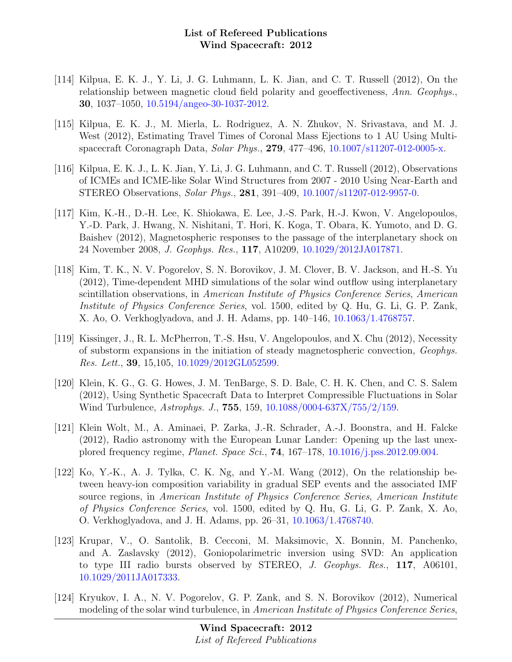- [114] Kilpua, E. K. J., Y. Li, J. G. Luhmann, L. K. Jian, and C. T. Russell (2012), On the relationship between magnetic cloud field polarity and geoeffectiveness, Ann. Geophys., 30, 1037–1050, [10.5194/angeo-30-1037-2012.](http://dx.doi.org/10.5194/angeo-30-1037-2012)
- [115] Kilpua, E. K. J., M. Mierla, L. Rodriguez, A. N. Zhukov, N. Srivastava, and M. J. West (2012), Estimating Travel Times of Coronal Mass Ejections to 1 AU Using Multispacecraft Coronagraph Data, Solar Phys., 279, 477–496, [10.1007/s11207-012-0005-x.](http://dx.doi.org/10.1007/s11207-012-0005-x)
- [116] Kilpua, E. K. J., L. K. Jian, Y. Li, J. G. Luhmann, and C. T. Russell (2012), Observations of ICMEs and ICME-like Solar Wind Structures from 2007 - 2010 Using Near-Earth and STEREO Observations, Solar Phys., 281, 391–409, [10.1007/s11207-012-9957-0.](http://dx.doi.org/10.1007/s11207-012-9957-0)
- [117] Kim, K.-H., D.-H. Lee, K. Shiokawa, E. Lee, J.-S. Park, H.-J. Kwon, V. Angelopoulos, Y.-D. Park, J. Hwang, N. Nishitani, T. Hori, K. Koga, T. Obara, K. Yumoto, and D. G. Baishev (2012), Magnetospheric responses to the passage of the interplanetary shock on 24 November 2008, J. Geophys. Res., 117, A10209, [10.1029/2012JA017871.](http://dx.doi.org/10.1029/2012JA017871)
- [118] Kim, T. K., N. V. Pogorelov, S. N. Borovikov, J. M. Clover, B. V. Jackson, and H.-S. Yu (2012), Time-dependent MHD simulations of the solar wind outflow using interplanetary scintillation observations, in American Institute of Physics Conference Series, American Institute of Physics Conference Series, vol. 1500, edited by Q. Hu, G. Li, G. P. Zank, X. Ao, O. Verkhoglyadova, and J. H. Adams, pp. 140–146, [10.1063/1.4768757.](http://dx.doi.org/10.1063/1.4768757)
- [119] Kissinger, J., R. L. McPherron, T.-S. Hsu, V. Angelopoulos, and X. Chu (2012), Necessity of substorm expansions in the initiation of steady magnetospheric convection, Geophys. Res. Lett., 39, 15,105, [10.1029/2012GL052599.](http://dx.doi.org/10.1029/2012GL052599)
- [120] Klein, K. G., G. G. Howes, J. M. TenBarge, S. D. Bale, C. H. K. Chen, and C. S. Salem (2012), Using Synthetic Spacecraft Data to Interpret Compressible Fluctuations in Solar Wind Turbulence, Astrophys. J., 755, 159, [10.1088/0004-637X/755/2/159.](http://dx.doi.org/10.1088/0004-637X/755/2/159)
- [121] Klein Wolt, M., A. Aminaei, P. Zarka, J.-R. Schrader, A.-J. Boonstra, and H. Falcke (2012), Radio astronomy with the European Lunar Lander: Opening up the last unexplored frequency regime, Planet. Space Sci., 74, 167–178, [10.1016/j.pss.2012.09.004.](http://dx.doi.org/10.1016/j.pss.2012.09.004)
- [122] Ko, Y.-K., A. J. Tylka, C. K. Ng, and Y.-M. Wang (2012), On the relationship between heavy-ion composition variability in gradual SEP events and the associated IMF source regions, in American Institute of Physics Conference Series, American Institute of Physics Conference Series, vol. 1500, edited by Q. Hu, G. Li, G. P. Zank, X. Ao, O. Verkhoglyadova, and J. H. Adams, pp. 26–31, [10.1063/1.4768740.](http://dx.doi.org/10.1063/1.4768740)
- [123] Krupar, V., O. Santolik, B. Cecconi, M. Maksimovic, X. Bonnin, M. Panchenko, and A. Zaslavsky (2012), Goniopolarimetric inversion using SVD: An application to type III radio bursts observed by STEREO, *J. Geophys. Res.*, 117, A06101, [10.1029/2011JA017333.](http://dx.doi.org/10.1029/2011JA017333)
- [124] Kryukov, I. A., N. V. Pogorelov, G. P. Zank, and S. N. Borovikov (2012), Numerical modeling of the solar wind turbulence, in American Institute of Physics Conference Series,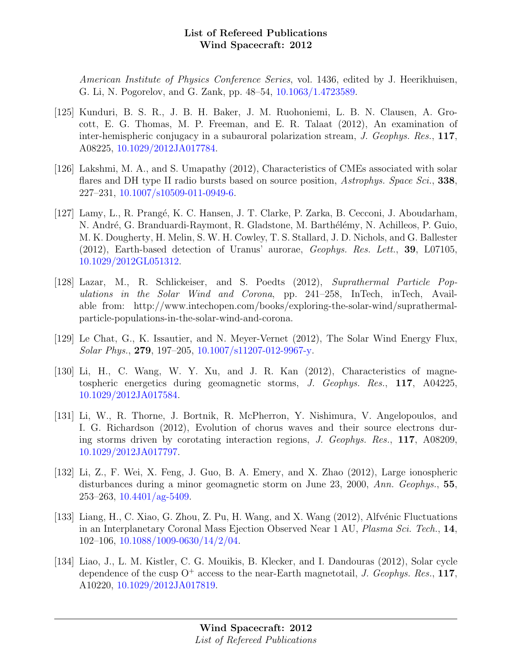American Institute of Physics Conference Series, vol. 1436, edited by J. Heerikhuisen, G. Li, N. Pogorelov, and G. Zank, pp. 48–54, [10.1063/1.4723589.](http://dx.doi.org/10.1063/1.4723589)

- [125] Kunduri, B. S. R., J. B. H. Baker, J. M. Ruohoniemi, L. B. N. Clausen, A. Grocott, E. G. Thomas, M. P. Freeman, and E. R. Talaat (2012), An examination of inter-hemispheric conjugacy in a subauroral polarization stream, J. Geophys. Res., 117, A08225, [10.1029/2012JA017784.](http://dx.doi.org/10.1029/2012JA017784)
- [126] Lakshmi, M. A., and S. Umapathy (2012), Characteristics of CMEs associated with solar flares and DH type II radio bursts based on source position, Astrophys. Space Sci., 338, 227–231, [10.1007/s10509-011-0949-6.](http://dx.doi.org/10.1007/s10509-011-0949-6)
- [127] Lamy, L., R. Prangé, K. C. Hansen, J. T. Clarke, P. Zarka, B. Cecconi, J. Aboudarham, N. André, G. Branduardi-Raymont, R. Gladstone, M. Barthélémy, N. Achilleos, P. Guio, M. K. Dougherty, H. Melin, S. W. H. Cowley, T. S. Stallard, J. D. Nichols, and G. Ballester (2012), Earth-based detection of Uranus' aurorae, Geophys. Res. Lett., 39, L07105, [10.1029/2012GL051312.](http://dx.doi.org/10.1029/2012GL051312)
- [128] Lazar, M., R. Schlickeiser, and S. Poedts (2012), Suprathermal Particle Populations in the Solar Wind and Corona, pp. 241–258, InTech, inTech, Available from: http://www.intechopen.com/books/exploring-the-solar-wind/suprathermalparticle-populations-in-the-solar-wind-and-corona.
- [129] Le Chat, G., K. Issautier, and N. Meyer-Vernet (2012), The Solar Wind Energy Flux, Solar Phys., 279, 197–205, [10.1007/s11207-012-9967-y.](http://dx.doi.org/10.1007/s11207-012-9967-y)
- [130] Li, H., C. Wang, W. Y. Xu, and J. R. Kan (2012), Characteristics of magnetospheric energetics during geomagnetic storms, J. Geophys. Res., 117, A04225, [10.1029/2012JA017584.](http://dx.doi.org/10.1029/2012JA017584)
- [131] Li, W., R. Thorne, J. Bortnik, R. McPherron, Y. Nishimura, V. Angelopoulos, and I. G. Richardson (2012), Evolution of chorus waves and their source electrons during storms driven by corotating interaction regions, J. Geophys. Res., 117, A08209, [10.1029/2012JA017797.](http://dx.doi.org/10.1029/2012JA017797)
- [132] Li, Z., F. Wei, X. Feng, J. Guo, B. A. Emery, and X. Zhao (2012), Large ionospheric disturbances during a minor geomagnetic storm on June 23, 2000, Ann. Geophys., 55,  $253-263$ ,  $10.4401/ag-5409$ .
- [133] Liang, H., C. Xiao, G. Zhou, Z. Pu, H. Wang, and X. Wang (2012), Alfvénic Fluctuations in an Interplanetary Coronal Mass Ejection Observed Near 1 AU, Plasma Sci. Tech., 14, 102–106, [10.1088/1009-0630/14/2/04.](http://dx.doi.org/10.1088/1009-0630/14/2/04)
- [134] Liao, J., L. M. Kistler, C. G. Mouikis, B. Klecker, and I. Dandouras (2012), Solar cycle dependence of the cusp  $O^+$  access to the near-Earth magnetotail, J. Geophys. Res., 117, A10220, [10.1029/2012JA017819.](http://dx.doi.org/10.1029/2012JA017819)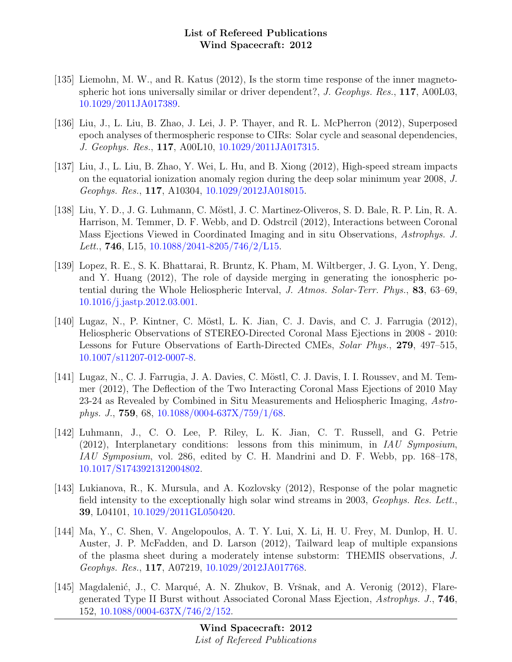- [135] Liemohn, M. W., and R. Katus (2012), Is the storm time response of the inner magnetospheric hot ions universally similar or driver dependent?, J. Geophys. Res., 117, A00L03, [10.1029/2011JA017389.](http://dx.doi.org/10.1029/2011JA017389)
- [136] Liu, J., L. Liu, B. Zhao, J. Lei, J. P. Thayer, and R. L. McPherron (2012), Superposed epoch analyses of thermospheric response to CIRs: Solar cycle and seasonal dependencies, J. Geophys. Res., 117, A00L10, [10.1029/2011JA017315.](http://dx.doi.org/10.1029/2011JA017315)
- [137] Liu, J., L. Liu, B. Zhao, Y. Wei, L. Hu, and B. Xiong (2012), High-speed stream impacts on the equatorial ionization anomaly region during the deep solar minimum year 2008, J. Geophys. Res., 117, A10304, [10.1029/2012JA018015.](http://dx.doi.org/10.1029/2012JA018015)
- [138] Liu, Y. D., J. G. Luhmann, C. Möstl, J. C. Martinez-Oliveros, S. D. Bale, R. P. Lin, R. A. Harrison, M. Temmer, D. F. Webb, and D. Odstrcil (2012), Interactions between Coronal Mass Ejections Viewed in Coordinated Imaging and in situ Observations, Astrophys. J. Lett., **746**, L15,  $10.1088/2041-8205/746/2/L15$ .
- [139] Lopez, R. E., S. K. Bhattarai, R. Bruntz, K. Pham, M. Wiltberger, J. G. Lyon, Y. Deng, and Y. Huang (2012), The role of dayside merging in generating the ionospheric potential during the Whole Heliospheric Interval, J. Atmos. Solar-Terr. Phys., 83, 63–69, [10.1016/j.jastp.2012.03.001.](http://dx.doi.org/10.1016/j.jastp.2012.03.001)
- [140] Lugaz, N., P. Kintner, C. Möstl, L. K. Jian, C. J. Davis, and C. J. Farrugia (2012), Heliospheric Observations of STEREO-Directed Coronal Mass Ejections in 2008 - 2010: Lessons for Future Observations of Earth-Directed CMEs, Solar Phys., 279, 497–515, [10.1007/s11207-012-0007-8.](http://dx.doi.org/10.1007/s11207-012-0007-8)
- [141] Lugaz, N., C. J. Farrugia, J. A. Davies, C. Möstl, C. J. Davis, I. I. Roussev, and M. Temmer (2012), The Deflection of the Two Interacting Coronal Mass Ejections of 2010 May 23-24 as Revealed by Combined in Situ Measurements and Heliospheric Imaging, Astrophys. J., **759**, 68, [10.1088/0004-637X/759/1/68.](http://dx.doi.org/10.1088/0004-637X/759/1/68)
- [142] Luhmann, J., C. O. Lee, P. Riley, L. K. Jian, C. T. Russell, and G. Petrie  $(2012)$ , Interplanetary conditions: lessons from this minimum, in IAU Symposium, IAU Symposium, vol. 286, edited by C. H. Mandrini and D. F. Webb, pp. 168–178, [10.1017/S1743921312004802.](http://dx.doi.org/10.1017/S1743921312004802)
- [143] Lukianova, R., K. Mursula, and A. Kozlovsky (2012), Response of the polar magnetic field intensity to the exceptionally high solar wind streams in 2003, Geophys. Res. Lett., 39, L04101, [10.1029/2011GL050420.](http://dx.doi.org/10.1029/2011GL050420)
- [144] Ma, Y., C. Shen, V. Angelopoulos, A. T. Y. Lui, X. Li, H. U. Frey, M. Dunlop, H. U. Auster, J. P. McFadden, and D. Larson (2012), Tailward leap of multiple expansions of the plasma sheet during a moderately intense substorm: THEMIS observations, J. Geophys. Res., 117, A07219, [10.1029/2012JA017768.](http://dx.doi.org/10.1029/2012JA017768)
- [145] Magdalenić, J., C. Marqué, A. N. Zhukov, B. Vršnak, and A. Veronig (2012), Flaregenerated Type II Burst without Associated Coronal Mass Ejection, Astrophys. J., 746, 152, [10.1088/0004-637X/746/2/152.](http://dx.doi.org/10.1088/0004-637X/746/2/152)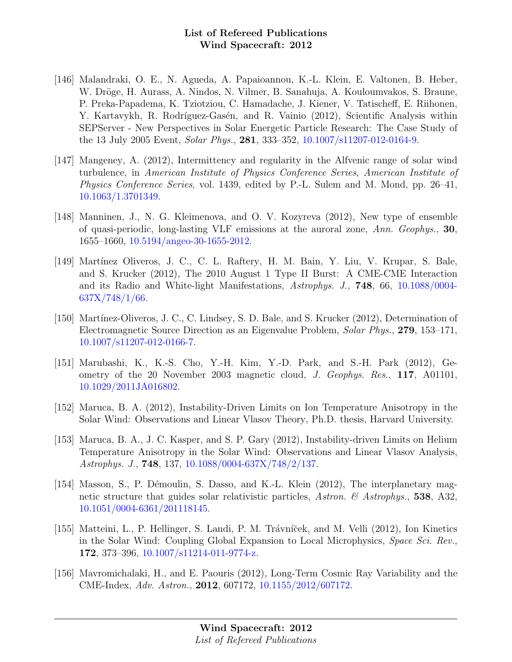- [146] Malandraki, O. E., N. Agueda, A. Papaioannou, K.-L. Klein, E. Valtonen, B. Heber, W. Dröge, H. Aurass, A. Nindos, N. Vilmer, B. Sanahuja, A. Kouloumvakos, S. Braune, P. Preka-Papadema, K. Tziotziou, C. Hamadache, J. Kiener, V. Tatischeff, E. Riihonen, Y. Kartavykh, R. Rodríguez-Gasén, and R. Vainio (2012), Scientific Analysis within SEPServer - New Perspectives in Solar Energetic Particle Research: The Case Study of the 13 July 2005 Event, Solar Phys., 281, 333–352, [10.1007/s11207-012-0164-9.](http://dx.doi.org/10.1007/s11207-012-0164-9)
- [147] Mangeney, A. (2012), Intermittency and regularity in the Alfvenic range of solar wind turbulence, in American Institute of Physics Conference Series, American Institute of Physics Conference Series, vol. 1439, edited by P.-L. Sulem and M. Mond, pp. 26–41, [10.1063/1.3701349.](http://dx.doi.org/10.1063/1.3701349)
- [148] Manninen, J., N. G. Kleimenova, and O. V. Kozyreva (2012), New type of ensemble of quasi-periodic, long-lasting VLF emissions at the auroral zone, Ann. Geophys., 30, 1655–1660, [10.5194/angeo-30-1655-2012.](http://dx.doi.org/10.5194/angeo-30-1655-2012)
- [149] Martínez Oliveros, J. C., C. L. Raftery, H. M. Bain, Y. Liu, V. Krupar, S. Bale, and S. Krucker (2012), The 2010 August 1 Type II Burst: A CME-CME Interaction and its Radio and White-light Manifestations, Astrophys. J., 748, 66, [10.1088/0004-](http://dx.doi.org/10.1088/0004-637X/748/1/66)  $637X/748/1/66$ .
- [150] Martínez-Oliveros, J. C., C. Lindsey, S. D. Bale, and S. Krucker (2012), Determination of Electromagnetic Source Direction as an Eigenvalue Problem, Solar Phys., 279, 153–171, [10.1007/s11207-012-0166-7.](http://dx.doi.org/10.1007/s11207-012-0166-7)
- [151] Marubashi, K., K.-S. Cho, Y.-H. Kim, Y.-D. Park, and S.-H. Park (2012), Geometry of the 20 November 2003 magnetic cloud, J. Geophys. Res., 117, A01101, [10.1029/2011JA016802.](http://dx.doi.org/10.1029/2011JA016802)
- [152] Maruca, B. A. (2012), Instability-Driven Limits on Ion Temperature Anisotropy in the Solar Wind: Observations and Linear Vlasov Theory, Ph.D. thesis, Harvard University.
- [153] Maruca, B. A., J. C. Kasper, and S. P. Gary (2012), Instability-driven Limits on Helium Temperature Anisotropy in the Solar Wind: Observations and Linear Vlasov Analysis, Astrophys. J., 748, 137, [10.1088/0004-637X/748/2/137.](http://dx.doi.org/10.1088/0004-637X/748/2/137)
- [154] Masson, S., P. Démoulin, S. Dasso, and K.-L. Klein (2012), The interplanetary magnetic structure that guides solar relativistic particles, Astron. & Astrophys., 538, A32, [10.1051/0004-6361/201118145.](http://dx.doi.org/10.1051/0004-6361/201118145)
- [155] Matteini, L., P. Hellinger, S. Landi, P. M. Trávníček, and M. Velli (2012), Ion Kinetics in the Solar Wind: Coupling Global Expansion to Local Microphysics, Space Sci. Rev., 172, 373–396, [10.1007/s11214-011-9774-z.](http://dx.doi.org/10.1007/s11214-011-9774-z)
- [156] Mavromichalaki, H., and E. Paouris (2012), Long-Term Cosmic Ray Variability and the CME-Index, Adv. Astron., 2012, 607172, [10.1155/2012/607172.](http://dx.doi.org/10.1155/2012/607172)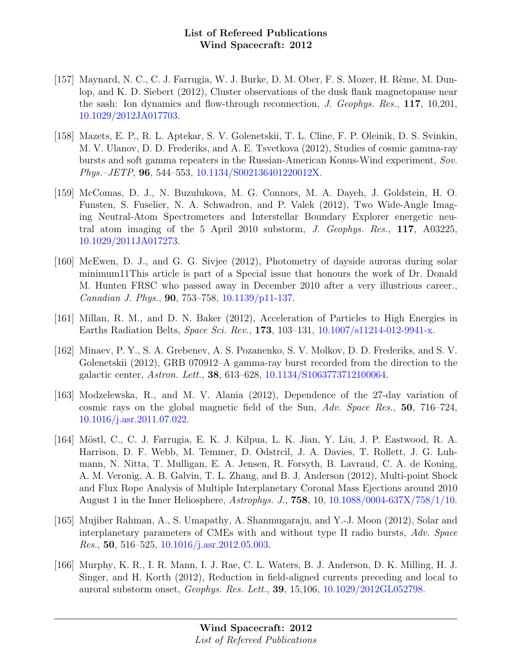- [157] Maynard, N. C., C. J. Farrugia, W. J. Burke, D. M. Ober, F. S. Mozer, H. Rème, M. Dunlop, and K. D. Siebert (2012), Cluster observations of the dusk flank magnetopause near the sash: Ion dynamics and flow-through reconnection, J. Geophys. Res., 117, 10,201, [10.1029/2012JA017703.](http://dx.doi.org/10.1029/2012JA017703)
- [158] Mazets, E. P., R. L. Aptekar, S. V. Golenetskii, T. L. Cline, F. P. Oleinik, D. S. Svinkin, M. V. Ulanov, D. D. Frederiks, and A. E. Tsvetkova (2012), Studies of cosmic gamma-ray bursts and soft gamma repeaters in the Russian-American Konus-Wind experiment, Sov. Phys.–JETP, 96, 544–553, [10.1134/S002136401220012X.](http://dx.doi.org/10.1134/S002136401220012X)
- [159] McComas, D. J., N. Buzulukova, M. G. Connors, M. A. Dayeh, J. Goldstein, H. O. Funsten, S. Fuselier, N. A. Schwadron, and P. Valek (2012), Two Wide-Angle Imaging Neutral-Atom Spectrometers and Interstellar Boundary Explorer energetic neutral atom imaging of the 5 April 2010 substorm, J. Geophys. Res., 117, A03225, [10.1029/2011JA017273.](http://dx.doi.org/10.1029/2011JA017273)
- [160] McEwen, D. J., and G. G. Sivjee (2012), Photometry of dayside auroras during solar minimum11This article is part of a Special issue that honours the work of Dr. Donald M. Hunten FRSC who passed away in December 2010 after a very illustrious career., Canadian J. Phys., 90, 753–758, [10.1139/p11-137.](http://dx.doi.org/10.1139/p11-137)
- [161] Millan, R. M., and D. N. Baker (2012), Acceleration of Particles to High Energies in Earths Radiation Belts, Space Sci. Rev., 173, 103–131, [10.1007/s11214-012-9941-x.](http://dx.doi.org/10.1007/s11214-012-9941-x)
- [162] Minaev, P. Y., S. A. Grebenev, A. S. Pozanenko, S. V. Molkov, D. D. Frederiks, and S. V. Golenetskii (2012), GRB 070912–A gamma-ray burst recorded from the direction to the galactic center, Astron. Lett., 38, 613–628, [10.1134/S1063773712100064.](http://dx.doi.org/10.1134/S1063773712100064)
- [163] Modzelewska, R., and M. V. Alania (2012), Dependence of the 27-day variation of cosmic rays on the global magnetic field of the Sun, Adv. Space Res., 50, 716–724, [10.1016/j.asr.2011.07.022.](http://dx.doi.org/10.1016/j.asr.2011.07.022)
- [164] Möstl, C., C. J. Farrugia, E. K. J. Kilpua, L. K. Jian, Y. Liu, J. P. Eastwood, R. A. Harrison, D. F. Webb, M. Temmer, D. Odstrcil, J. A. Davies, T. Rollett, J. G. Luhmann, N. Nitta, T. Mulligan, E. A. Jensen, R. Forsyth, B. Lavraud, C. A. de Koning, A. M. Veronig, A. B. Galvin, T. L. Zhang, and B. J. Anderson (2012), Multi-point Shock and Flux Rope Analysis of Multiple Interplanetary Coronal Mass Ejections around 2010 August 1 in the Inner Heliosphere,  $Astrophys. J., 758, 10, 10.1088/0004-637X/758/1/10.$  $Astrophys. J., 758, 10, 10.1088/0004-637X/758/1/10.$
- [165] Mujiber Rahman, A., S. Umapathy, A. Shanmugaraju, and Y.-J. Moon (2012), Solar and interplanetary parameters of CMEs with and without type II radio bursts, Adv. Space *Res.*, 50, 516–525, [10.1016/j.asr.2012.05.003.](http://dx.doi.org/10.1016/j.asr.2012.05.003)
- [166] Murphy, K. R., I. R. Mann, I. J. Rae, C. L. Waters, B. J. Anderson, D. K. Milling, H. J. Singer, and H. Korth (2012), Reduction in field-aligned currents preceding and local to auroral substorm onset, Geophys. Res. Lett., 39, 15,106, [10.1029/2012GL052798.](http://dx.doi.org/10.1029/2012GL052798)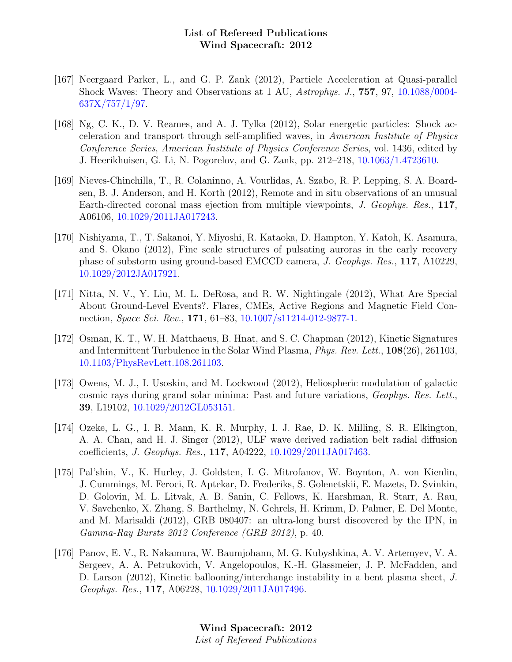- [167] Neergaard Parker, L., and G. P. Zank (2012), Particle Acceleration at Quasi-parallel Shock Waves: Theory and Observations at 1 AU, Astrophys. J., 757, 97, [10.1088/0004-](http://dx.doi.org/10.1088/0004-637X/757/1/97) [637X/757/1/97.](http://dx.doi.org/10.1088/0004-637X/757/1/97)
- [168] Ng, C. K., D. V. Reames, and A. J. Tylka (2012), Solar energetic particles: Shock acceleration and transport through self-amplified waves, in American Institute of Physics Conference Series, American Institute of Physics Conference Series, vol. 1436, edited by J. Heerikhuisen, G. Li, N. Pogorelov, and G. Zank, pp. 212–218, [10.1063/1.4723610.](http://dx.doi.org/10.1063/1.4723610)
- [169] Nieves-Chinchilla, T., R. Colaninno, A. Vourlidas, A. Szabo, R. P. Lepping, S. A. Boardsen, B. J. Anderson, and H. Korth (2012), Remote and in situ observations of an unusual Earth-directed coronal mass ejection from multiple viewpoints, J. Geophys. Res., 117, A06106, [10.1029/2011JA017243.](http://dx.doi.org/10.1029/2011JA017243)
- [170] Nishiyama, T., T. Sakanoi, Y. Miyoshi, R. Kataoka, D. Hampton, Y. Katoh, K. Asamura, and S. Okano (2012), Fine scale structures of pulsating auroras in the early recovery phase of substorm using ground-based EMCCD camera, J. Geophys. Res., 117, A10229, [10.1029/2012JA017921.](http://dx.doi.org/10.1029/2012JA017921)
- [171] Nitta, N. V., Y. Liu, M. L. DeRosa, and R. W. Nightingale (2012), What Are Special About Ground-Level Events?. Flares, CMEs, Active Regions and Magnetic Field Connection, Space Sci. Rev., 171, 61–83, [10.1007/s11214-012-9877-1.](http://dx.doi.org/10.1007/s11214-012-9877-1)
- [172] Osman, K. T., W. H. Matthaeus, B. Hnat, and S. C. Chapman (2012), Kinetic Signatures and Intermittent Turbulence in the Solar Wind Plasma, *Phys. Rev. Lett.*, **108**(26), 261103, [10.1103/PhysRevLett.108.261103.](http://dx.doi.org/10.1103/PhysRevLett.108.261103)
- [173] Owens, M. J., I. Usoskin, and M. Lockwood (2012), Heliospheric modulation of galactic cosmic rays during grand solar minima: Past and future variations, Geophys. Res. Lett., 39, L19102, [10.1029/2012GL053151.](http://dx.doi.org/10.1029/2012GL053151)
- [174] Ozeke, L. G., I. R. Mann, K. R. Murphy, I. J. Rae, D. K. Milling, S. R. Elkington, A. A. Chan, and H. J. Singer (2012), ULF wave derived radiation belt radial diffusion coefficients, J. Geophys. Res., 117, A04222, [10.1029/2011JA017463.](http://dx.doi.org/10.1029/2011JA017463)
- [175] Pal'shin, V., K. Hurley, J. Goldsten, I. G. Mitrofanov, W. Boynton, A. von Kienlin, J. Cummings, M. Feroci, R. Aptekar, D. Frederiks, S. Golenetskii, E. Mazets, D. Svinkin, D. Golovin, M. L. Litvak, A. B. Sanin, C. Fellows, K. Harshman, R. Starr, A. Rau, V. Savchenko, X. Zhang, S. Barthelmy, N. Gehrels, H. Krimm, D. Palmer, E. Del Monte, and M. Marisaldi (2012), GRB 080407: an ultra-long burst discovered by the IPN, in Gamma-Ray Bursts 2012 Conference (GRB 2012), p. 40.
- [176] Panov, E. V., R. Nakamura, W. Baumjohann, M. G. Kubyshkina, A. V. Artemyev, V. A. Sergeev, A. A. Petrukovich, V. Angelopoulos, K.-H. Glassmeier, J. P. McFadden, and D. Larson (2012), Kinetic ballooning/interchange instability in a bent plasma sheet, J. Geophys. Res., 117, A06228, [10.1029/2011JA017496.](http://dx.doi.org/10.1029/2011JA017496)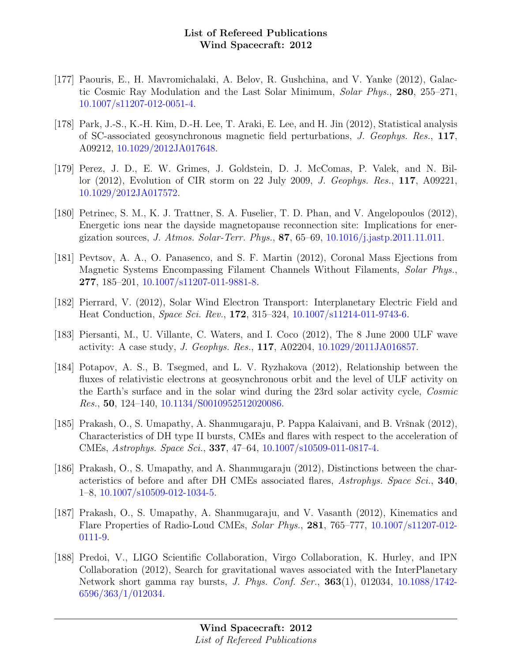- [177] Paouris, E., H. Mavromichalaki, A. Belov, R. Gushchina, and V. Yanke (2012), Galactic Cosmic Ray Modulation and the Last Solar Minimum, Solar Phys., 280, 255–271, [10.1007/s11207-012-0051-4.](http://dx.doi.org/10.1007/s11207-012-0051-4)
- [178] Park, J.-S., K.-H. Kim, D.-H. Lee, T. Araki, E. Lee, and H. Jin (2012), Statistical analysis of SC-associated geosynchronous magnetic field perturbations, J. Geophys. Res., 117, A09212, [10.1029/2012JA017648.](http://dx.doi.org/10.1029/2012JA017648)
- [179] Perez, J. D., E. W. Grimes, J. Goldstein, D. J. McComas, P. Valek, and N. Billor (2012), Evolution of CIR storm on 22 July 2009, J. Geophys. Res., 117, A09221, [10.1029/2012JA017572.](http://dx.doi.org/10.1029/2012JA017572)
- [180] Petrinec, S. M., K. J. Trattner, S. A. Fuselier, T. D. Phan, and V. Angelopoulos (2012), Energetic ions near the dayside magnetopause reconnection site: Implications for energization sources, *J. Atmos. Solar-Terr. Phys.*, **87**, 65–69, [10.1016/j.jastp.2011.11.011.](http://dx.doi.org/10.1016/j.jastp.2011.11.011)
- [181] Pevtsov, A. A., O. Panasenco, and S. F. Martin (2012), Coronal Mass Ejections from Magnetic Systems Encompassing Filament Channels Without Filaments, Solar Phys., 277, 185–201, [10.1007/s11207-011-9881-8.](http://dx.doi.org/10.1007/s11207-011-9881-8)
- [182] Pierrard, V. (2012), Solar Wind Electron Transport: Interplanetary Electric Field and Heat Conduction, Space Sci. Rev., 172, 315–324, [10.1007/s11214-011-9743-6.](http://dx.doi.org/10.1007/s11214-011-9743-6)
- [183] Piersanti, M., U. Villante, C. Waters, and I. Coco (2012), The 8 June 2000 ULF wave activity: A case study, J. Geophys. Res., 117, A02204, [10.1029/2011JA016857.](http://dx.doi.org/10.1029/2011JA016857)
- [184] Potapov, A. S., B. Tsegmed, and L. V. Ryzhakova (2012), Relationship between the fluxes of relativistic electrons at geosynchronous orbit and the level of ULF activity on the Earth's surface and in the solar wind during the 23rd solar activity cycle, Cosmic Res., 50, 124–140, [10.1134/S0010952512020086.](http://dx.doi.org/10.1134/S0010952512020086)
- [185] Prakash, O., S. Umapathy, A. Shanmugaraju, P. Pappa Kalaivani, and B. Vršnak (2012), Characteristics of DH type II bursts, CMEs and flares with respect to the acceleration of CMEs, Astrophys. Space Sci., 337, 47–64, [10.1007/s10509-011-0817-4.](http://dx.doi.org/10.1007/s10509-011-0817-4)
- [186] Prakash, O., S. Umapathy, and A. Shanmugaraju (2012), Distinctions between the characteristics of before and after DH CMEs associated flares, Astrophys. Space Sci., 340, 1–8, [10.1007/s10509-012-1034-5.](http://dx.doi.org/10.1007/s10509-012-1034-5)
- [187] Prakash, O., S. Umapathy, A. Shanmugaraju, and V. Vasanth (2012), Kinematics and Flare Properties of Radio-Loud CMEs, Solar Phys., 281, 765–777, [10.1007/s11207-012-](http://dx.doi.org/10.1007/s11207-012-0111-9) [0111-9.](http://dx.doi.org/10.1007/s11207-012-0111-9)
- [188] Predoi, V., LIGO Scientific Collaboration, Virgo Collaboration, K. Hurley, and IPN Collaboration (2012), Search for gravitational waves associated with the InterPlanetary Network short gamma ray bursts, J. Phys. Conf. Ser., 363(1), 012034, [10.1088/1742-](http://dx.doi.org/10.1088/1742-6596/363/1/012034) [6596/363/1/012034.](http://dx.doi.org/10.1088/1742-6596/363/1/012034)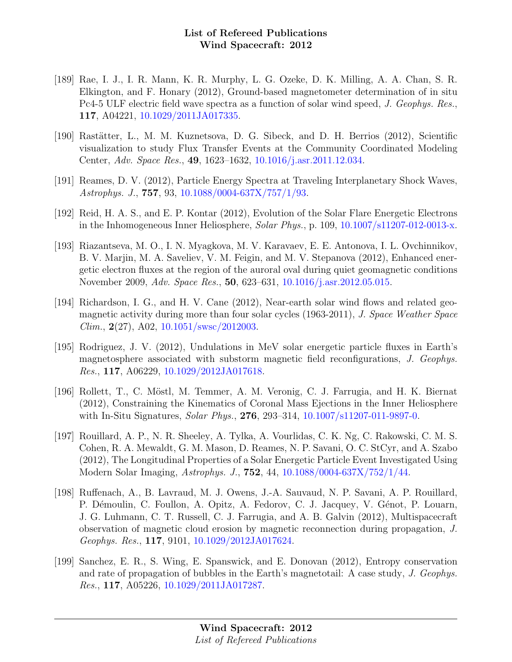- [189] Rae, I. J., I. R. Mann, K. R. Murphy, L. G. Ozeke, D. K. Milling, A. A. Chan, S. R. Elkington, and F. Honary (2012), Ground-based magnetometer determination of in situ Pc4-5 ULF electric field wave spectra as a function of solar wind speed, J. Geophys. Res., 117, A04221, [10.1029/2011JA017335.](http://dx.doi.org/10.1029/2011JA017335)
- [190] Rastätter, L., M. M. Kuznetsova, D. G. Sibeck, and D. H. Berrios (2012), Scientific visualization to study Flux Transfer Events at the Community Coordinated Modeling Center, Adv. Space Res., 49, 1623–1632, [10.1016/j.asr.2011.12.034.](http://dx.doi.org/10.1016/j.asr.2011.12.034)
- [191] Reames, D. V. (2012), Particle Energy Spectra at Traveling Interplanetary Shock Waves, Astrophys. J., 757, 93, [10.1088/0004-637X/757/1/93.](http://dx.doi.org/10.1088/0004-637X/757/1/93)
- [192] Reid, H. A. S., and E. P. Kontar (2012), Evolution of the Solar Flare Energetic Electrons in the Inhomogeneous Inner Heliosphere, Solar Phys., p. 109,  $10.1007 \text{/} s11207 \text{-} 012 \text{-} 0013 \text{-} x$ .
- [193] Riazantseva, M. O., I. N. Myagkova, M. V. Karavaev, E. E. Antonova, I. L. Ovchinnikov, B. V. Marjin, M. A. Saveliev, V. M. Feigin, and M. V. Stepanova (2012), Enhanced energetic electron fluxes at the region of the auroral oval during quiet geomagnetic conditions November 2009, Adv. Space Res., 50, 623–631, [10.1016/j.asr.2012.05.015.](http://dx.doi.org/10.1016/j.asr.2012.05.015)
- [194] Richardson, I. G., and H. V. Cane (2012), Near-earth solar wind flows and related geomagnetic activity during more than four solar cycles (1963-2011), J. Space Weather Space  $Clim., 2(27), A02, 10.1051/swsc/2012003.$  $Clim., 2(27), A02, 10.1051/swsc/2012003.$
- [195] Rodriguez, J. V. (2012), Undulations in MeV solar energetic particle fluxes in Earth's magnetosphere associated with substorm magnetic field reconfigurations, J. Geophys. Res., 117, A06229, [10.1029/2012JA017618.](http://dx.doi.org/10.1029/2012JA017618)
- [196] Rollett, T., C. Möstl, M. Temmer, A. M. Veronig, C. J. Farrugia, and H. K. Biernat (2012), Constraining the Kinematics of Coronal Mass Ejections in the Inner Heliosphere with In-Situ Signatures, *Solar Phys.*, **276**, 293–314, [10.1007/s11207-011-9897-0.](http://dx.doi.org/10.1007/s11207-011-9897-0)
- [197] Rouillard, A. P., N. R. Sheeley, A. Tylka, A. Vourlidas, C. K. Ng, C. Rakowski, C. M. S. Cohen, R. A. Mewaldt, G. M. Mason, D. Reames, N. P. Savani, O. C. StCyr, and A. Szabo (2012), The Longitudinal Properties of a Solar Energetic Particle Event Investigated Using Modern Solar Imaging, Astrophys. J., 752, 44, [10.1088/0004-637X/752/1/44.](http://dx.doi.org/10.1088/0004-637X/752/1/44)
- [198] Ruffenach, A., B. Lavraud, M. J. Owens, J.-A. Sauvaud, N. P. Savani, A. P. Rouillard, P. Démoulin, C. Foullon, A. Opitz, A. Fedorov, C. J. Jacquey, V. Génot, P. Louarn, J. G. Luhmann, C. T. Russell, C. J. Farrugia, and A. B. Galvin (2012), Multispacecraft observation of magnetic cloud erosion by magnetic reconnection during propagation, J. Geophys. Res., 117, 9101, [10.1029/2012JA017624.](http://dx.doi.org/10.1029/2012JA017624)
- [199] Sanchez, E. R., S. Wing, E. Spanswick, and E. Donovan (2012), Entropy conservation and rate of propagation of bubbles in the Earth's magnetotail: A case study, J. Geophys. Res., 117, A05226, [10.1029/2011JA017287.](http://dx.doi.org/10.1029/2011JA017287)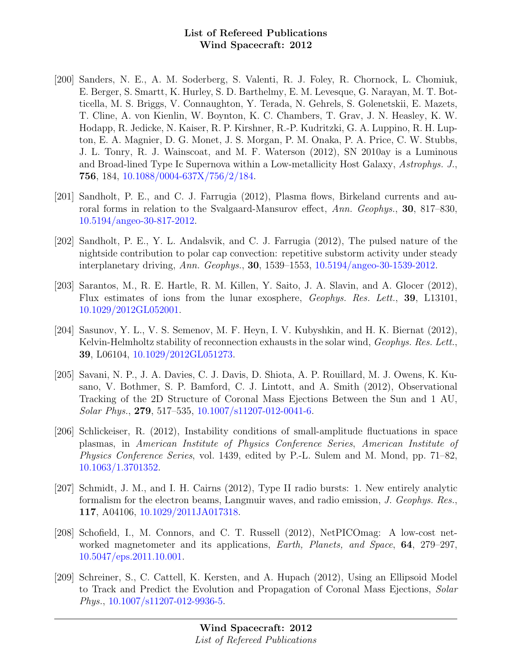- [200] Sanders, N. E., A. M. Soderberg, S. Valenti, R. J. Foley, R. Chornock, L. Chomiuk, E. Berger, S. Smartt, K. Hurley, S. D. Barthelmy, E. M. Levesque, G. Narayan, M. T. Botticella, M. S. Briggs, V. Connaughton, Y. Terada, N. Gehrels, S. Golenetskii, E. Mazets, T. Cline, A. von Kienlin, W. Boynton, K. C. Chambers, T. Grav, J. N. Heasley, K. W. Hodapp, R. Jedicke, N. Kaiser, R. P. Kirshner, R.-P. Kudritzki, G. A. Luppino, R. H. Lupton, E. A. Magnier, D. G. Monet, J. S. Morgan, P. M. Onaka, P. A. Price, C. W. Stubbs, J. L. Tonry, R. J. Wainscoat, and M. F. Waterson (2012), SN 2010ay is a Luminous and Broad-lined Type Ic Supernova within a Low-metallicity Host Galaxy, Astrophys. J., 756, 184, [10.1088/0004-637X/756/2/184.](http://dx.doi.org/10.1088/0004-637X/756/2/184)
- [201] Sandholt, P. E., and C. J. Farrugia (2012), Plasma flows, Birkeland currents and auroral forms in relation to the Svalgaard-Mansurov effect, Ann. Geophys., 30, 817–830, [10.5194/angeo-30-817-2012.](http://dx.doi.org/10.5194/angeo-30-817-2012)
- [202] Sandholt, P. E., Y. L. Andalsvik, and C. J. Farrugia (2012), The pulsed nature of the nightside contribution to polar cap convection: repetitive substorm activity under steady interplanetary driving, Ann. Geophys., 30, 1539–1553, [10.5194/angeo-30-1539-2012.](http://dx.doi.org/10.5194/angeo-30-1539-2012)
- [203] Sarantos, M., R. E. Hartle, R. M. Killen, Y. Saito, J. A. Slavin, and A. Glocer (2012), Flux estimates of ions from the lunar exosphere, Geophys. Res. Lett., 39, L13101, [10.1029/2012GL052001.](http://dx.doi.org/10.1029/2012GL052001)
- [204] Sasunov, Y. L., V. S. Semenov, M. F. Heyn, I. V. Kubyshkin, and H. K. Biernat (2012), Kelvin-Helmholtz stability of reconnection exhausts in the solar wind, *Geophys. Res. Lett.*, 39, L06104, [10.1029/2012GL051273.](http://dx.doi.org/10.1029/2012GL051273)
- [205] Savani, N. P., J. A. Davies, C. J. Davis, D. Shiota, A. P. Rouillard, M. J. Owens, K. Kusano, V. Bothmer, S. P. Bamford, C. J. Lintott, and A. Smith (2012), Observational Tracking of the 2D Structure of Coronal Mass Ejections Between the Sun and 1 AU, Solar Phys., 279, 517–535, [10.1007/s11207-012-0041-6.](http://dx.doi.org/10.1007/s11207-012-0041-6)
- [206] Schlickeiser, R. (2012), Instability conditions of small-amplitude fluctuations in space plasmas, in American Institute of Physics Conference Series, American Institute of Physics Conference Series, vol. 1439, edited by P.-L. Sulem and M. Mond, pp. 71–82, [10.1063/1.3701352.](http://dx.doi.org/10.1063/1.3701352)
- [207] Schmidt, J. M., and I. H. Cairns (2012), Type II radio bursts: 1. New entirely analytic formalism for the electron beams, Langmuir waves, and radio emission, J. Geophys. Res., 117, A04106, [10.1029/2011JA017318.](http://dx.doi.org/10.1029/2011JA017318)
- [208] Schofield, I., M. Connors, and C. T. Russell (2012), NetPICOmag: A low-cost networked magnetometer and its applications, Earth, Planets, and Space, 64, 279–297, [10.5047/eps.2011.10.001.](http://dx.doi.org/10.5047/eps.2011.10.001)
- [209] Schreiner, S., C. Cattell, K. Kersten, and A. Hupach (2012), Using an Ellipsoid Model to Track and Predict the Evolution and Propagation of Coronal Mass Ejections, Solar Phys., [10.1007/s11207-012-9936-5.](http://dx.doi.org/10.1007/s11207-012-9936-5)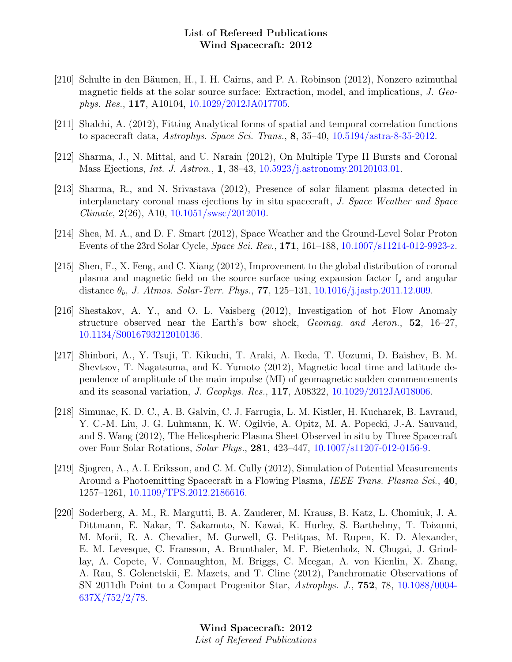- [210] Schulte in den Bäumen, H., I. H. Cairns, and P. A. Robinson (2012), Nonzero azimuthal magnetic fields at the solar source surface: Extraction, model, and implications, J. Geophys. Res., 117, A10104, [10.1029/2012JA017705.](http://dx.doi.org/10.1029/2012JA017705)
- [211] Shalchi, A. (2012), Fitting Analytical forms of spatial and temporal correlation functions to spacecraft data, Astrophys. Space Sci. Trans., 8, 35–40, [10.5194/astra-8-35-2012.](http://dx.doi.org/10.5194/astra-8-35-2012)
- [212] Sharma, J., N. Mittal, and U. Narain (2012), On Multiple Type II Bursts and Coronal Mass Ejections, Int. J. Astron., 1, 38–43, [10.5923/j.astronomy.20120103.01.](http://dx.doi.org/10.5923/j.astronomy.20120103.01)
- [213] Sharma, R., and N. Srivastava (2012), Presence of solar filament plasma detected in interplanetary coronal mass ejections by in situ spacecraft, J. Space Weather and Space Climate,  $2(26)$ , A10,  $10.1051$ /swsc/2012010.
- [214] Shea, M. A., and D. F. Smart (2012), Space Weather and the Ground-Level Solar Proton Events of the 23rd Solar Cycle, Space Sci. Rev., 171, 161–188, [10.1007/s11214-012-9923-z.](http://dx.doi.org/10.1007/s11214-012-9923-z)
- [215] Shen, F., X. Feng, and C. Xiang (2012), Improvement to the global distribution of coronal plasma and magnetic field on the source surface using expansion factor  $f_s$  and angular distance  $\theta_b$ , *J. Atmos. Solar-Terr. Phys.*, **77**, 125–131, [10.1016/j.jastp.2011.12.009.](http://dx.doi.org/10.1016/j.jastp.2011.12.009)
- [216] Shestakov, A. Y., and O. L. Vaisberg (2012), Investigation of hot Flow Anomaly structure observed near the Earth's bow shock, Geomag. and Aeron., 52, 16–27, [10.1134/S0016793212010136.](http://dx.doi.org/10.1134/S0016793212010136)
- [217] Shinbori, A., Y. Tsuji, T. Kikuchi, T. Araki, A. Ikeda, T. Uozumi, D. Baishev, B. M. Shevtsov, T. Nagatsuma, and K. Yumoto (2012), Magnetic local time and latitude dependence of amplitude of the main impulse (MI) of geomagnetic sudden commencements and its seasonal variation, J. Geophys. Res., 117, A08322, [10.1029/2012JA018006.](http://dx.doi.org/10.1029/2012JA018006)
- [218] Simunac, K. D. C., A. B. Galvin, C. J. Farrugia, L. M. Kistler, H. Kucharek, B. Lavraud, Y. C.-M. Liu, J. G. Luhmann, K. W. Ogilvie, A. Opitz, M. A. Popecki, J.-A. Sauvaud, and S. Wang (2012), The Heliospheric Plasma Sheet Observed in situ by Three Spacecraft over Four Solar Rotations, Solar Phys., 281, 423–447, [10.1007/s11207-012-0156-9.](http://dx.doi.org/10.1007/s11207-012-0156-9)
- [219] Sjogren, A., A. I. Eriksson, and C. M. Cully (2012), Simulation of Potential Measurements Around a Photoemitting Spacecraft in a Flowing Plasma, IEEE Trans. Plasma Sci., 40, 1257–1261, [10.1109/TPS.2012.2186616.](http://dx.doi.org/10.1109/TPS.2012.2186616)
- [220] Soderberg, A. M., R. Margutti, B. A. Zauderer, M. Krauss, B. Katz, L. Chomiuk, J. A. Dittmann, E. Nakar, T. Sakamoto, N. Kawai, K. Hurley, S. Barthelmy, T. Toizumi, M. Morii, R. A. Chevalier, M. Gurwell, G. Petitpas, M. Rupen, K. D. Alexander, E. M. Levesque, C. Fransson, A. Brunthaler, M. F. Bietenholz, N. Chugai, J. Grindlay, A. Copete, V. Connaughton, M. Briggs, C. Meegan, A. von Kienlin, X. Zhang, A. Rau, S. Golenetskii, E. Mazets, and T. Cline (2012), Panchromatic Observations of SN 2011dh Point to a Compact Progenitor Star, Astrophys. J., 752, 78, [10.1088/0004-](http://dx.doi.org/10.1088/0004-637X/752/2/78) [637X/752/2/78.](http://dx.doi.org/10.1088/0004-637X/752/2/78)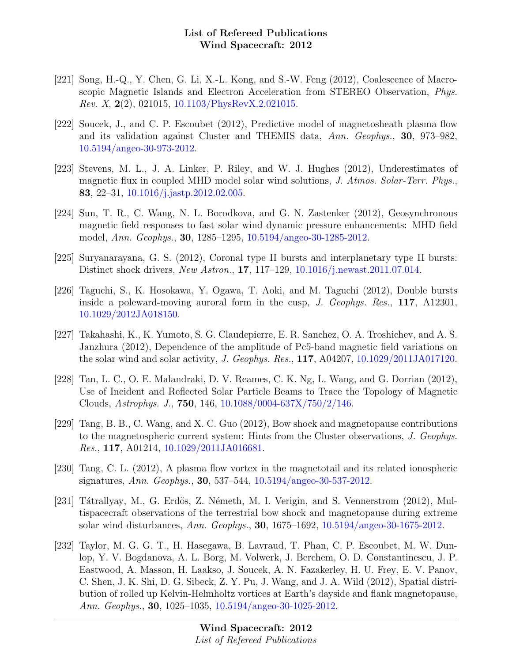- [221] Song, H.-Q., Y. Chen, G. Li, X.-L. Kong, and S.-W. Feng (2012), Coalescence of Macroscopic Magnetic Islands and Electron Acceleration from STEREO Observation, Phys. Rev. X, 2(2), 021015, [10.1103/PhysRevX.2.021015.](http://dx.doi.org/10.1103/PhysRevX.2.021015)
- [222] Soucek, J., and C. P. Escoubet (2012), Predictive model of magnetosheath plasma flow and its validation against Cluster and THEMIS data, Ann. Geophys., 30, 973–982, [10.5194/angeo-30-973-2012.](http://dx.doi.org/10.5194/angeo-30-973-2012)
- [223] Stevens, M. L., J. A. Linker, P. Riley, and W. J. Hughes (2012), Underestimates of magnetic flux in coupled MHD model solar wind solutions, J. Atmos. Solar-Terr. Phys., 83, 22–31, [10.1016/j.jastp.2012.02.005.](http://dx.doi.org/10.1016/j.jastp.2012.02.005)
- [224] Sun, T. R., C. Wang, N. L. Borodkova, and G. N. Zastenker (2012), Geosynchronous magnetic field responses to fast solar wind dynamic pressure enhancements: MHD field model, Ann. Geophys., 30, 1285–1295, [10.5194/angeo-30-1285-2012.](http://dx.doi.org/10.5194/angeo-30-1285-2012)
- [225] Suryanarayana, G. S. (2012), Coronal type II bursts and interplanetary type II bursts: Distinct shock drivers, New Astron., 17, 117–129, [10.1016/j.newast.2011.07.014.](http://dx.doi.org/10.1016/j.newast.2011.07.014)
- [226] Taguchi, S., K. Hosokawa, Y. Ogawa, T. Aoki, and M. Taguchi (2012), Double bursts inside a poleward-moving auroral form in the cusp, J. Geophys. Res., 117, A12301, [10.1029/2012JA018150.](http://dx.doi.org/10.1029/2012JA018150)
- [227] Takahashi, K., K. Yumoto, S. G. Claudepierre, E. R. Sanchez, O. A. Troshichev, and A. S. Janzhura (2012), Dependence of the amplitude of Pc5-band magnetic field variations on the solar wind and solar activity, J. Geophys. Res., 117, A04207, [10.1029/2011JA017120.](http://dx.doi.org/10.1029/2011JA017120)
- [228] Tan, L. C., O. E. Malandraki, D. V. Reames, C. K. Ng, L. Wang, and G. Dorrian (2012), Use of Incident and Reflected Solar Particle Beams to Trace the Topology of Magnetic Clouds, Astrophys. J., 750, 146, [10.1088/0004-637X/750/2/146.](http://dx.doi.org/10.1088/0004-637X/750/2/146)
- [229] Tang, B. B., C. Wang, and X. C. Guo (2012), Bow shock and magnetopause contributions to the magnetospheric current system: Hints from the Cluster observations, J. Geophys. Res., 117, A01214, [10.1029/2011JA016681.](http://dx.doi.org/10.1029/2011JA016681)
- [230] Tang, C. L. (2012), A plasma flow vortex in the magnetotail and its related ionospheric signatures, Ann. Geophys., 30, 537–544, [10.5194/angeo-30-537-2012.](http://dx.doi.org/10.5194/angeo-30-537-2012)
- [231] Tátrallyay, M., G. Erdös, Z. Németh, M. I. Verigin, and S. Vennerstrom  $(2012)$ , Multispacecraft observations of the terrestrial bow shock and magnetopause during extreme solar wind disturbances, Ann. Geophys., 30, 1675–1692, [10.5194/angeo-30-1675-2012.](http://dx.doi.org/10.5194/angeo-30-1675-2012)
- [232] Taylor, M. G. G. T., H. Hasegawa, B. Lavraud, T. Phan, C. P. Escoubet, M. W. Dunlop, Y. V. Bogdanova, A. L. Borg, M. Volwerk, J. Berchem, O. D. Constantinescu, J. P. Eastwood, A. Masson, H. Laakso, J. Soucek, A. N. Fazakerley, H. U. Frey, E. V. Panov, C. Shen, J. K. Shi, D. G. Sibeck, Z. Y. Pu, J. Wang, and J. A. Wild (2012), Spatial distribution of rolled up Kelvin-Helmholtz vortices at Earth's dayside and flank magnetopause, Ann. Geophys., 30, 1025–1035, [10.5194/angeo-30-1025-2012.](http://dx.doi.org/10.5194/angeo-30-1025-2012)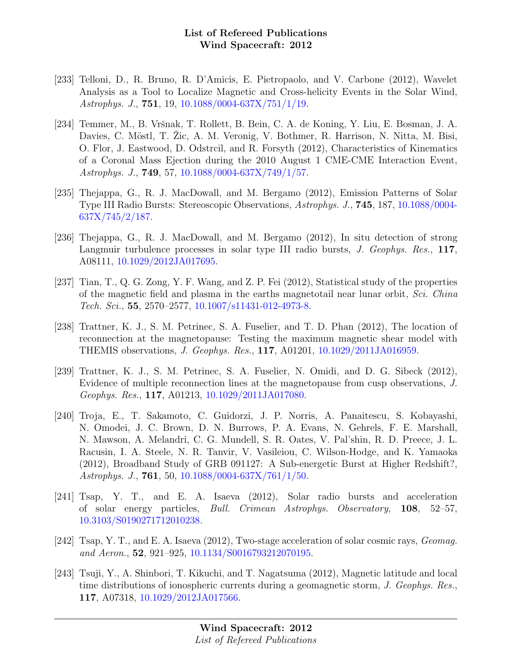- [233] Telloni, D., R. Bruno, R. D'Amicis, E. Pietropaolo, and V. Carbone (2012), Wavelet Analysis as a Tool to Localize Magnetic and Cross-helicity Events in the Solar Wind, Astrophys. J., 751, 19, [10.1088/0004-637X/751/1/19.](http://dx.doi.org/10.1088/0004-637X/751/1/19)
- [234] Temmer, M., B. Vršnak, T. Rollett, B. Bein, C. A. de Koning, Y. Liu, E. Bosman, J. A. Davies, C. Möstl, T. Zic, A. M. Veronig, V. Bothmer, R. Harrison, N. Nitta, M. Bisi, O. Flor, J. Eastwood, D. Odstrcil, and R. Forsyth (2012), Characteristics of Kinematics of a Coronal Mass Ejection during the 2010 August 1 CME-CME Interaction Event, Astrophys. J., 749, 57, [10.1088/0004-637X/749/1/57.](http://dx.doi.org/10.1088/0004-637X/749/1/57)
- [235] Thejappa, G., R. J. MacDowall, and M. Bergamo (2012), Emission Patterns of Solar Type III Radio Bursts: Stereoscopic Observations, Astrophys. J., 745, 187, [10.1088/0004-](http://dx.doi.org/10.1088/0004-637X/745/2/187) [637X/745/2/187.](http://dx.doi.org/10.1088/0004-637X/745/2/187)
- [236] Thejappa, G., R. J. MacDowall, and M. Bergamo (2012), In situ detection of strong Langmuir turbulence processes in solar type III radio bursts, J. Geophys. Res., 117, A08111, [10.1029/2012JA017695.](http://dx.doi.org/10.1029/2012JA017695)
- [237] Tian, T., Q. G. Zong, Y. F. Wang, and Z. P. Fei (2012), Statistical study of the properties of the magnetic field and plasma in the earths magnetotail near lunar orbit, Sci. China Tech. Sci., 55, 2570–2577, [10.1007/s11431-012-4973-8.](http://dx.doi.org/10.1007/s11431-012-4973-8)
- [238] Trattner, K. J., S. M. Petrinec, S. A. Fuselier, and T. D. Phan (2012), The location of reconnection at the magnetopause: Testing the maximum magnetic shear model with THEMIS observations, J. Geophys. Res., 117, A01201, [10.1029/2011JA016959.](http://dx.doi.org/10.1029/2011JA016959)
- [239] Trattner, K. J., S. M. Petrinec, S. A. Fuselier, N. Omidi, and D. G. Sibeck (2012), Evidence of multiple reconnection lines at the magnetopause from cusp observations, J. Geophys. Res., 117, A01213, [10.1029/2011JA017080.](http://dx.doi.org/10.1029/2011JA017080)
- [240] Troja, E., T. Sakamoto, C. Guidorzi, J. P. Norris, A. Panaitescu, S. Kobayashi, N. Omodei, J. C. Brown, D. N. Burrows, P. A. Evans, N. Gehrels, F. E. Marshall, N. Mawson, A. Melandri, C. G. Mundell, S. R. Oates, V. Pal'shin, R. D. Preece, J. L. Racusin, I. A. Steele, N. R. Tanvir, V. Vasileiou, C. Wilson-Hodge, and K. Yamaoka (2012), Broadband Study of GRB 091127: A Sub-energetic Burst at Higher Redshift?, Astrophys. J., 761, 50, [10.1088/0004-637X/761/1/50.](http://dx.doi.org/10.1088/0004-637X/761/1/50)
- [241] Tsap, Y. T., and E. A. Isaeva (2012), Solar radio bursts and acceleration of solar energy particles, Bull. Crimean Astrophys. Observatory, 108, 52–57, [10.3103/S0190271712010238.](http://dx.doi.org/10.3103/S0190271712010238)
- [242] Tsap, Y. T., and E. A. Isaeva (2012), Two-stage acceleration of solar cosmic rays, Geomag. and Aeron., 52, 921–925, [10.1134/S0016793212070195.](http://dx.doi.org/10.1134/S0016793212070195)
- [243] Tsuji, Y., A. Shinbori, T. Kikuchi, and T. Nagatsuma (2012), Magnetic latitude and local time distributions of ionospheric currents during a geomagnetic storm, J. Geophys. Res., 117, A07318, [10.1029/2012JA017566.](http://dx.doi.org/10.1029/2012JA017566)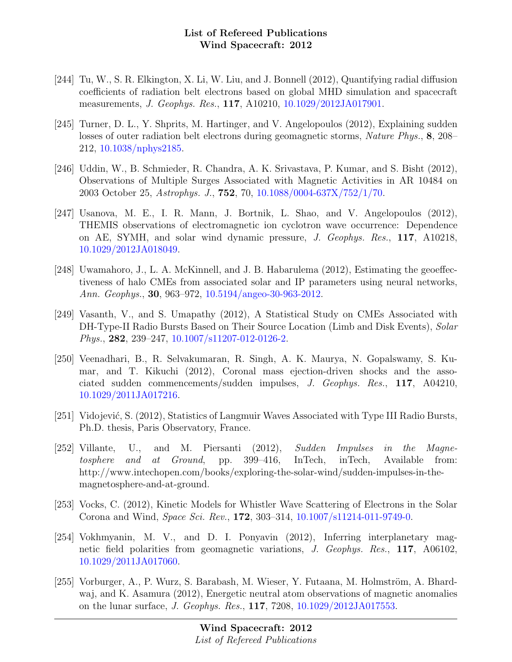- [244] Tu, W., S. R. Elkington, X. Li, W. Liu, and J. Bonnell (2012), Quantifying radial diffusion coefficients of radiation belt electrons based on global MHD simulation and spacecraft measurements, J. Geophys. Res., 117, A10210, [10.1029/2012JA017901.](http://dx.doi.org/10.1029/2012JA017901)
- [245] Turner, D. L., Y. Shprits, M. Hartinger, and V. Angelopoulos (2012), Explaining sudden losses of outer radiation belt electrons during geomagnetic storms, Nature Phys., 8, 208– 212, [10.1038/nphys2185.](http://dx.doi.org/10.1038/nphys2185)
- [246] Uddin, W., B. Schmieder, R. Chandra, A. K. Srivastava, P. Kumar, and S. Bisht (2012), Observations of Multiple Surges Associated with Magnetic Activities in AR 10484 on 2003 October 25, Astrophys. J., 752, 70, [10.1088/0004-637X/752/1/70.](http://dx.doi.org/10.1088/0004-637X/752/1/70)
- [247] Usanova, M. E., I. R. Mann, J. Bortnik, L. Shao, and V. Angelopoulos (2012), THEMIS observations of electromagnetic ion cyclotron wave occurrence: Dependence on AE, SYMH, and solar wind dynamic pressure, J. Geophys. Res., 117, A10218, [10.1029/2012JA018049.](http://dx.doi.org/10.1029/2012JA018049)
- [248] Uwamahoro, J., L. A. McKinnell, and J. B. Habarulema (2012), Estimating the geoeffectiveness of halo CMEs from associated solar and IP parameters using neural networks, Ann. Geophys., 30, 963–972, [10.5194/angeo-30-963-2012.](http://dx.doi.org/10.5194/angeo-30-963-2012)
- [249] Vasanth, V., and S. Umapathy (2012), A Statistical Study on CMEs Associated with DH-Type-II Radio Bursts Based on Their Source Location (Limb and Disk Events), Solar Phys., 282, 239–247, [10.1007/s11207-012-0126-2.](http://dx.doi.org/10.1007/s11207-012-0126-2)
- [250] Veenadhari, B., R. Selvakumaran, R. Singh, A. K. Maurya, N. Gopalswamy, S. Kumar, and T. Kikuchi (2012), Coronal mass ejection-driven shocks and the associated sudden commencements/sudden impulses, J. Geophys. Res., 117, A04210, [10.1029/2011JA017216.](http://dx.doi.org/10.1029/2011JA017216)
- [251] Vidojević, S. (2012), Statistics of Langmuir Waves Associated with Type III Radio Bursts, Ph.D. thesis, Paris Observatory, France.
- [252] Villante, U., and M. Piersanti (2012), Sudden Impulses in the Magnetosphere and at Ground, pp. 399–416, InTech, inTech, Available from: http://www.intechopen.com/books/exploring-the-solar-wind/sudden-impulses-in-themagnetosphere-and-at-ground.
- [253] Vocks, C. (2012), Kinetic Models for Whistler Wave Scattering of Electrons in the Solar Corona and Wind, Space Sci. Rev., 172, 303–314, [10.1007/s11214-011-9749-0.](http://dx.doi.org/10.1007/s11214-011-9749-0)
- [254] Vokhmyanin, M. V., and D. I. Ponyavin (2012), Inferring interplanetary magnetic field polarities from geomagnetic variations, J. Geophys. Res., 117, A06102, [10.1029/2011JA017060.](http://dx.doi.org/10.1029/2011JA017060)
- [255] Vorburger, A., P. Wurz, S. Barabash, M. Wieser, Y. Futaana, M. Holmström, A. Bhardwaj, and K. Asamura (2012), Energetic neutral atom observations of magnetic anomalies on the lunar surface, J. Geophys. Res., 117, 7208, [10.1029/2012JA017553.](http://dx.doi.org/10.1029/2012JA017553)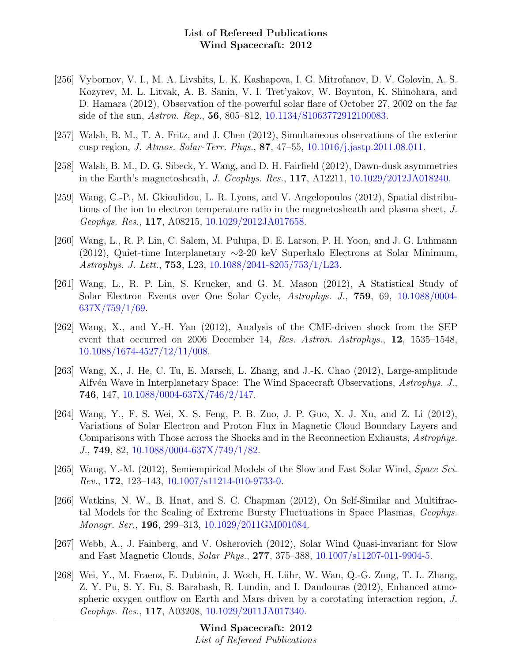- [256] Vybornov, V. I., M. A. Livshits, L. K. Kashapova, I. G. Mitrofanov, D. V. Golovin, A. S. Kozyrev, M. L. Litvak, A. B. Sanin, V. I. Tret'yakov, W. Boynton, K. Shinohara, and D. Hamara (2012), Observation of the powerful solar flare of October 27, 2002 on the far side of the sun, Astron. Rep., 56, 805–812, [10.1134/S1063772912100083.](http://dx.doi.org/10.1134/S1063772912100083)
- [257] Walsh, B. M., T. A. Fritz, and J. Chen (2012), Simultaneous observations of the exterior cusp region, J. Atmos. Solar-Terr. Phys., 87, 47–55, [10.1016/j.jastp.2011.08.011.](http://dx.doi.org/10.1016/j.jastp.2011.08.011)
- [258] Walsh, B. M., D. G. Sibeck, Y. Wang, and D. H. Fairfield (2012), Dawn-dusk asymmetries in the Earth's magnetosheath, J. Geophys. Res., 117, A12211, [10.1029/2012JA018240.](http://dx.doi.org/10.1029/2012JA018240)
- [259] Wang, C.-P., M. Gkioulidou, L. R. Lyons, and V. Angelopoulos (2012), Spatial distributions of the ion to electron temperature ratio in the magnetosheath and plasma sheet, J. Geophys. Res., 117, A08215, [10.1029/2012JA017658.](http://dx.doi.org/10.1029/2012JA017658)
- [260] Wang, L., R. P. Lin, C. Salem, M. Pulupa, D. E. Larson, P. H. Yoon, and J. G. Luhmann (2012), Quiet-time Interplanetary ∼2-20 keV Superhalo Electrons at Solar Minimum, Astrophys. J. Lett., 753, L23, [10.1088/2041-8205/753/1/L23.](http://dx.doi.org/10.1088/2041-8205/753/1/L23)
- [261] Wang, L., R. P. Lin, S. Krucker, and G. M. Mason (2012), A Statistical Study of Solar Electron Events over One Solar Cycle, Astrophys. J., 759, 69, [10.1088/0004-](http://dx.doi.org/10.1088/0004-637X/759/1/69)  $637X/759/1/69.$
- [262] Wang, X., and Y.-H. Yan (2012), Analysis of the CME-driven shock from the SEP event that occurred on 2006 December 14, Res. Astron. Astrophys., 12, 1535–1548, [10.1088/1674-4527/12/11/008.](http://dx.doi.org/10.1088/1674-4527/12/11/008)
- [263] Wang, X., J. He, C. Tu, E. Marsch, L. Zhang, and J.-K. Chao (2012), Large-amplitude Alfvén Wave in Interplanetary Space: The Wind Spacecraft Observations, Astrophys. J., 746, 147, [10.1088/0004-637X/746/2/147.](http://dx.doi.org/10.1088/0004-637X/746/2/147)
- [264] Wang, Y., F. S. Wei, X. S. Feng, P. B. Zuo, J. P. Guo, X. J. Xu, and Z. Li (2012), Variations of Solar Electron and Proton Flux in Magnetic Cloud Boundary Layers and Comparisons with Those across the Shocks and in the Reconnection Exhausts, Astrophys. J., 749, 82, [10.1088/0004-637X/749/1/82.](http://dx.doi.org/10.1088/0004-637X/749/1/82)
- [265] Wang, Y.-M. (2012), Semiempirical Models of the Slow and Fast Solar Wind, Space Sci. Rev., 172, 123–143, [10.1007/s11214-010-9733-0.](http://dx.doi.org/10.1007/s11214-010-9733-0)
- [266] Watkins, N. W., B. Hnat, and S. C. Chapman (2012), On Self-Similar and Multifractal Models for the Scaling of Extreme Bursty Fluctuations in Space Plasmas, Geophys. Monogr. Ser., 196, 299–313, [10.1029/2011GM001084.](http://dx.doi.org/10.1029/2011GM001084)
- [267] Webb, A., J. Fainberg, and V. Osherovich (2012), Solar Wind Quasi-invariant for Slow and Fast Magnetic Clouds, Solar Phys., 277, 375–388, [10.1007/s11207-011-9904-5.](http://dx.doi.org/10.1007/s11207-011-9904-5)
- [268] Wei, Y., M. Fraenz, E. Dubinin, J. Woch, H. L¨uhr, W. Wan, Q.-G. Zong, T. L. Zhang, Z. Y. Pu, S. Y. Fu, S. Barabash, R. Lundin, and I. Dandouras (2012), Enhanced atmospheric oxygen outflow on Earth and Mars driven by a corotating interaction region, J. Geophys. Res., 117, A03208, [10.1029/2011JA017340.](http://dx.doi.org/10.1029/2011JA017340)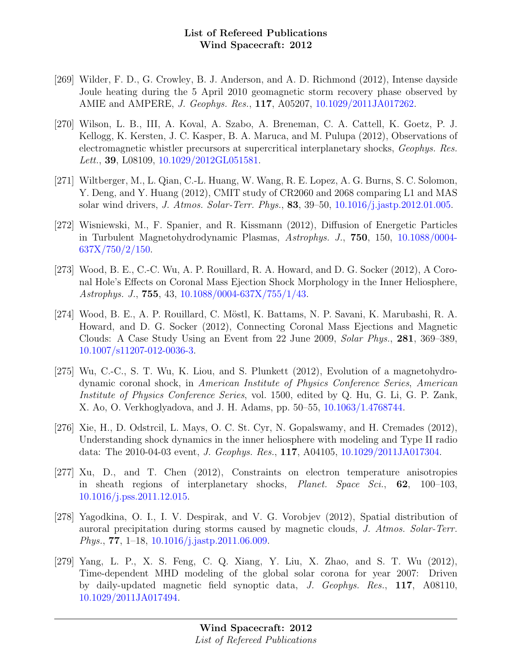- [269] Wilder, F. D., G. Crowley, B. J. Anderson, and A. D. Richmond (2012), Intense dayside Joule heating during the 5 April 2010 geomagnetic storm recovery phase observed by AMIE and AMPERE, J. Geophys. Res., 117, A05207, [10.1029/2011JA017262.](http://dx.doi.org/10.1029/2011JA017262)
- [270] Wilson, L. B., III, A. Koval, A. Szabo, A. Breneman, C. A. Cattell, K. Goetz, P. J. Kellogg, K. Kersten, J. C. Kasper, B. A. Maruca, and M. Pulupa (2012), Observations of electromagnetic whistler precursors at supercritical interplanetary shocks, Geophys. Res. Lett., 39, L08109, [10.1029/2012GL051581.](http://dx.doi.org/10.1029/2012GL051581)
- [271] Wiltberger, M., L. Qian, C.-L. Huang, W. Wang, R. E. Lopez, A. G. Burns, S. C. Solomon, Y. Deng, and Y. Huang (2012), CMIT study of CR2060 and 2068 comparing L1 and MAS solar wind drivers, J. Atmos. Solar-Terr. Phys., 83, 39–50, [10.1016/j.jastp.2012.01.005.](http://dx.doi.org/10.1016/j.jastp.2012.01.005)
- [272] Wisniewski, M., F. Spanier, and R. Kissmann (2012), Diffusion of Energetic Particles in Turbulent Magnetohydrodynamic Plasmas, Astrophys. J., 750, 150, [10.1088/0004-](http://dx.doi.org/10.1088/0004-637X/750/2/150)  $637X/750/2/150$ .
- [273] Wood, B. E., C.-C. Wu, A. P. Rouillard, R. A. Howard, and D. G. Socker (2012), A Coronal Hole's Effects on Coronal Mass Ejection Shock Morphology in the Inner Heliosphere, Astrophys. J., 755, 43, [10.1088/0004-637X/755/1/43.](http://dx.doi.org/10.1088/0004-637X/755/1/43)
- [274] Wood, B. E., A. P. Rouillard, C. M¨ostl, K. Battams, N. P. Savani, K. Marubashi, R. A. Howard, and D. G. Socker (2012), Connecting Coronal Mass Ejections and Magnetic Clouds: A Case Study Using an Event from 22 June 2009, Solar Phys., 281, 369–389, [10.1007/s11207-012-0036-3.](http://dx.doi.org/10.1007/s11207-012-0036-3)
- [275] Wu, C.-C., S. T. Wu, K. Liou, and S. Plunkett (2012), Evolution of a magnetohydrodynamic coronal shock, in American Institute of Physics Conference Series, American Institute of Physics Conference Series, vol. 1500, edited by Q. Hu, G. Li, G. P. Zank, X. Ao, O. Verkhoglyadova, and J. H. Adams, pp. 50–55, [10.1063/1.4768744.](http://dx.doi.org/10.1063/1.4768744)
- [276] Xie, H., D. Odstrcil, L. Mays, O. C. St. Cyr, N. Gopalswamy, and H. Cremades (2012), Understanding shock dynamics in the inner heliosphere with modeling and Type II radio data: The 2010-04-03 event, J. Geophys. Res., 117, A04105, [10.1029/2011JA017304.](http://dx.doi.org/10.1029/2011JA017304)
- [277] Xu, D., and T. Chen (2012), Constraints on electron temperature anisotropies in sheath regions of interplanetary shocks, Planet. Space Sci., 62, 100–103, [10.1016/j.pss.2011.12.015.](http://dx.doi.org/10.1016/j.pss.2011.12.015)
- [278] Yagodkina, O. I., I. V. Despirak, and V. G. Vorobjev (2012), Spatial distribution of auroral precipitation during storms caused by magnetic clouds, J. Atmos. Solar-Terr. Phys., 77, 1–18, [10.1016/j.jastp.2011.06.009.](http://dx.doi.org/10.1016/j.jastp.2011.06.009)
- [279] Yang, L. P., X. S. Feng, C. Q. Xiang, Y. Liu, X. Zhao, and S. T. Wu (2012), Time-dependent MHD modeling of the global solar corona for year 2007: Driven by daily-updated magnetic field synoptic data, J. Geophys. Res., 117, A08110, [10.1029/2011JA017494.](http://dx.doi.org/10.1029/2011JA017494)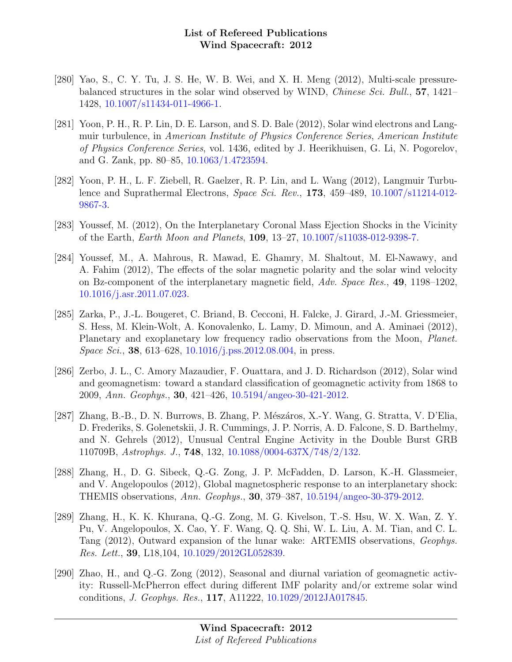- [280] Yao, S., C. Y. Tu, J. S. He, W. B. Wei, and X. H. Meng (2012), Multi-scale pressurebalanced structures in the solar wind observed by WIND, Chinese Sci. Bull., 57, 1421– 1428, [10.1007/s11434-011-4966-1.](http://dx.doi.org/10.1007/s11434-011-4966-1)
- [281] Yoon, P. H., R. P. Lin, D. E. Larson, and S. D. Bale (2012), Solar wind electrons and Langmuir turbulence, in American Institute of Physics Conference Series, American Institute of Physics Conference Series, vol. 1436, edited by J. Heerikhuisen, G. Li, N. Pogorelov, and G. Zank, pp. 80–85, [10.1063/1.4723594.](http://dx.doi.org/10.1063/1.4723594)
- [282] Yoon, P. H., L. F. Ziebell, R. Gaelzer, R. P. Lin, and L. Wang (2012), Langmuir Turbulence and Suprathermal Electrons, Space Sci. Rev., 173, 459–489, [10.1007/s11214-012-](http://dx.doi.org/10.1007/s11214-012-9867-3) [9867-3.](http://dx.doi.org/10.1007/s11214-012-9867-3)
- [283] Youssef, M. (2012), On the Interplanetary Coronal Mass Ejection Shocks in the Vicinity of the Earth, Earth Moon and Planets, 109, 13–27, [10.1007/s11038-012-9398-7.](http://dx.doi.org/10.1007/s11038-012-9398-7)
- [284] Youssef, M., A. Mahrous, R. Mawad, E. Ghamry, M. Shaltout, M. El-Nawawy, and A. Fahim (2012), The effects of the solar magnetic polarity and the solar wind velocity on Bz-component of the interplanetary magnetic field, Adv. Space Res., 49, 1198–1202, [10.1016/j.asr.2011.07.023.](http://dx.doi.org/10.1016/j.asr.2011.07.023)
- [285] Zarka, P., J.-L. Bougeret, C. Briand, B. Cecconi, H. Falcke, J. Girard, J.-M. Griessmeier, S. Hess, M. Klein-Wolt, A. Konovalenko, L. Lamy, D. Mimoun, and A. Aminaei (2012), Planetary and exoplanetary low frequency radio observations from the Moon, *Planet*. *Space Sci.*, **38**, 613–628, [10.1016/j.pss.2012.08.004,](http://dx.doi.org/10.1016/j.pss.2012.08.004) in press.
- [286] Zerbo, J. L., C. Amory Mazaudier, F. Ouattara, and J. D. Richardson (2012), Solar wind and geomagnetism: toward a standard classification of geomagnetic activity from 1868 to 2009, Ann. Geophys., 30, 421–426, [10.5194/angeo-30-421-2012.](http://dx.doi.org/10.5194/angeo-30-421-2012)
- [287] Zhang, B.-B., D. N. Burrows, B. Zhang, P. Mészáros, X.-Y. Wang, G. Stratta, V. D'Elia, D. Frederiks, S. Golenetskii, J. R. Cummings, J. P. Norris, A. D. Falcone, S. D. Barthelmy, and N. Gehrels (2012), Unusual Central Engine Activity in the Double Burst GRB 110709B, Astrophys. J., 748, 132, [10.1088/0004-637X/748/2/132.](http://dx.doi.org/10.1088/0004-637X/748/2/132)
- [288] Zhang, H., D. G. Sibeck, Q.-G. Zong, J. P. McFadden, D. Larson, K.-H. Glassmeier, and V. Angelopoulos (2012), Global magnetospheric response to an interplanetary shock: THEMIS observations, Ann. Geophys., 30, 379–387, [10.5194/angeo-30-379-2012.](http://dx.doi.org/10.5194/angeo-30-379-2012)
- [289] Zhang, H., K. K. Khurana, Q.-G. Zong, M. G. Kivelson, T.-S. Hsu, W. X. Wan, Z. Y. Pu, V. Angelopoulos, X. Cao, Y. F. Wang, Q. Q. Shi, W. L. Liu, A. M. Tian, and C. L. Tang (2012), Outward expansion of the lunar wake: ARTEMIS observations, Geophys. Res. Lett., 39, L18,104, [10.1029/2012GL052839.](http://dx.doi.org/10.1029/2012GL052839)
- [290] Zhao, H., and Q.-G. Zong (2012), Seasonal and diurnal variation of geomagnetic activity: Russell-McPherron effect during different IMF polarity and/or extreme solar wind conditions, J. Geophys. Res., 117, A11222, [10.1029/2012JA017845.](http://dx.doi.org/10.1029/2012JA017845)